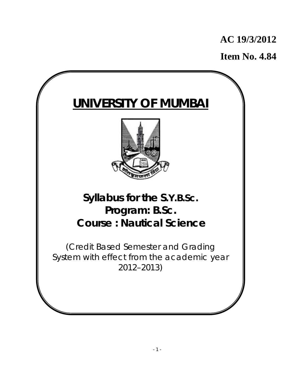# **AC 19/3/2012**

**Item No. 4.84**

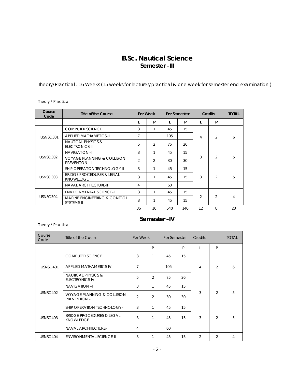# **B.Sc. Nautical Science Semester –III**

Theory/Practical : 16 Weeks (15 weeks for lectures/practical & one week for semester end examination )

Theory / Practical :

| Course<br>Code | Title of the Course                                              |                | Per Week       | Per Semester |     | <b>Credits</b> |                | <b>TOTAL</b> |
|----------------|------------------------------------------------------------------|----------------|----------------|--------------|-----|----------------|----------------|--------------|
|                |                                                                  | L              | P              | L            | P   | L              | P              |              |
|                | <b>COMPUTER SCIENCE</b>                                          | 3              | 1              | 45           | 15  |                |                |              |
| USNSC301       | <b>APPLIED MATHAMETICS-III</b>                                   | 7              |                | 105          |     | 4              | $\overline{2}$ | 6            |
|                | NAUTICAL PHYSICS &<br><b>ELECTRONICS-III</b>                     | 5              | $\overline{2}$ | 75           | 26  |                |                |              |
|                | <b>NAVIGATION -II</b>                                            | 3              | 1              | 45           | 15  |                | $\overline{2}$ | 5            |
| USNSC302       | <b>VOYAGE PLANNING &amp; COLLISION</b><br><b>PREVENTION - II</b> | $\overline{2}$ | $\mathfrak{D}$ | 30           | 30  | 3              |                |              |
|                | SHIP OPERATION TECHNOLOGY-II                                     | 3              | $\mathbf{1}$   | 45           | 15  |                |                | 5            |
| USNSC303       | <b>BRIDGE PROCEDURES &amp; LEGAL</b><br><b>KNOWLEDGE</b>         | 3              | 1              | 45           | 15  | 3              | $\mathcal{P}$  |              |
|                | <b>NAVAL ARCHITECTURE-II</b>                                     | 4              |                | 60           |     |                |                |              |
|                | <b>ENVIRONMENTAL SCIENCE-II</b>                                  | 3              | 1              | 45           | 15  |                |                |              |
| USNSC304       | <b>MARINE ENGINEERING &amp; CONTROL</b><br>SYSTEMS-II            | 3              | $\overline{1}$ | 45           | 15  | $\overline{2}$ | $\mathcal{L}$  | 4            |
|                |                                                                  | 36             | 10             | 540          | 146 | 12             | 8              | 20           |

# **Semester –IV**

Theory / Practical :

| Course<br>Code | Title of the Course                                              | Per Week       |                | Per Semester |    | Credits        |                | <b>TOTAL</b> |
|----------------|------------------------------------------------------------------|----------------|----------------|--------------|----|----------------|----------------|--------------|
|                |                                                                  |                | P              |              | P  | $\mathbf{I}$   | P              |              |
|                | <b>COMPUTER SCIENCE</b>                                          | 3              | 1              | 45           | 15 |                |                |              |
| USNSC401       | <b>APPLIED MATHAMETICS-IV</b>                                    |                |                | 105          |    | 4              | $\mathfrak{D}$ | 6            |
|                | <b>NAUTICAL PHYSICS &amp;</b><br>ELECTRONICS-IV                  | 5              | $\overline{2}$ | 75           | 26 |                |                |              |
|                | <b>NAVIGATION-II</b>                                             | 3              | 1              | 45           | 15 |                |                |              |
| USNSC402       | <b>VOYAGE PLANNING &amp; COLLISION</b><br><b>PREVENTION - II</b> | $\overline{2}$ | $\overline{2}$ | 30           | 30 | 3              | $\overline{2}$ | 5            |
|                | SHIP OPERATION TECHNOLOGY-II                                     | 3              | 1              | 45           | 15 |                |                |              |
| USNSC403       | <b>BRIDGE PROCEDURES &amp; LEGAL</b><br><b>KNOWLEDGE</b>         |                | 1              | 45           | 15 | 3              | $\overline{2}$ | 5            |
|                | <b>NAVAL ARCHITECTURE-II</b>                                     | 4              |                | 60           |    |                |                |              |
| USNSC404       | <b>ENVIRONMENTAL SCIENCE-II</b>                                  | 3              | 1              | 45           | 15 | $\overline{2}$ | $\overline{2}$ | 4            |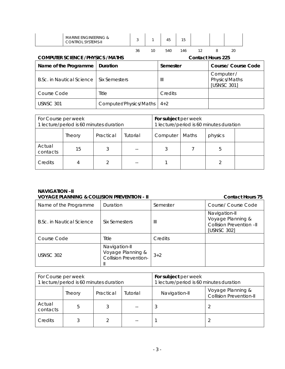| <b>COMPUTER SCIENCE /PHYSICS /MATHS</b><br>l Name of the Programme L Duration |                                                   |  |    |    | <b>Contact Hours 225</b><br>Course/Course C<br>Semester |     |  |  |    |  |
|-------------------------------------------------------------------------------|---------------------------------------------------|--|----|----|---------------------------------------------------------|-----|--|--|----|--|
|                                                                               |                                                   |  | 36 | 10 | 540                                                     | 146 |  |  | 20 |  |
|                                                                               | MARINE ENGINEERING &<br><b>CONTROL SYSTEMS-II</b> |  |    |    | 45                                                      | 15  |  |  |    |  |

| Name of the Programme     | <b>Duration</b>        | Semester | <b>Course/ Course Code</b>                 |
|---------------------------|------------------------|----------|--------------------------------------------|
| B.Sc. in Nautical Science | Six Semesters          | Ш        | Computer /<br>Physics/Maths<br>[USNSC 301] |
| Course Code               | Title                  | Credits  |                                            |
| <b>USNSC 301</b>          | Computer/Physics/Maths | $4+2$    |                                            |

┓

| For Course per week<br>1 lecture/period is 60 minutes duration |        |           | For subject per week<br>1 lecture/period is 60 minutes duration |          |       |         |  |
|----------------------------------------------------------------|--------|-----------|-----------------------------------------------------------------|----------|-------|---------|--|
|                                                                | Theory | Practical | Tutorial                                                        | Computer | Maths | physics |  |
| Actual<br>contacts                                             | 15     |           |                                                                 |          |       | 5       |  |
| Credits                                                        |        |           |                                                                 |          |       |         |  |

# **NAVIGATION –II**

### **VOYAGE PLANNING & COLLISION PREVENTION - II** CONTACT **CONTACT HOURS 75** Name of the Programme | Duration | Semester | Course/ Course Code B.Sc. in Nautical Science Six Semesters III Navigation-II Voyage Planning & Collision Prevention –II [USNSC 302] Course Code Title Title Credits USNSC 302 Navigation-II Voyage Planning & Collision Prevention-II  $3+2$

| For Course per week<br>1 lecture/period is 60 minutes duration |        |           |          | For subject per week<br>1 lecture/period is 60 minutes duration |                                                     |  |
|----------------------------------------------------------------|--------|-----------|----------|-----------------------------------------------------------------|-----------------------------------------------------|--|
|                                                                | Theory | Practical | Tutorial | Navigation-II                                                   | Voyage Planning &<br><b>Collision Prevention-II</b> |  |
| Actual<br>contacts                                             | b      |           |          | 3                                                               |                                                     |  |
| Credits                                                        |        |           |          |                                                                 |                                                     |  |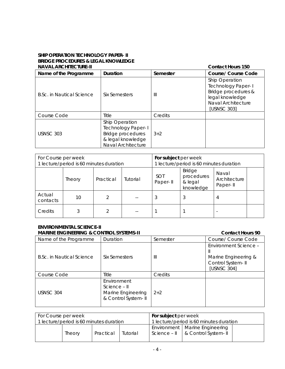### **SHIP OPERATION TECHNOLOGY PAPER- II BRIDGE PROCEDURES & LEGAL KNOWLEDGE NAVAL ARCHITECTURE-II Contact Hours 150**

| NAVAL AKUHIILUIUKL-II     |                                                                                                             | Contact Hours 150 |                                                                                                                            |  |  |
|---------------------------|-------------------------------------------------------------------------------------------------------------|-------------------|----------------------------------------------------------------------------------------------------------------------------|--|--|
| Name of the Programme     | Duration                                                                                                    | Semester          | <b>Course/ Course Code</b>                                                                                                 |  |  |
| B.Sc. in Nautical Science | Six Semesters                                                                                               | Ш                 | Ship Operation<br><b>Technology Paper-I</b><br>Bridge procedures &<br>legal knowledge<br>Naval Architecture<br>[USNSC 303] |  |  |
| Course Code               | <b>Title</b>                                                                                                | Credits           |                                                                                                                            |  |  |
| USNSC 303                 | Ship Operation<br><b>Technology Paper-I</b><br>Bridge procedures<br>& legal knowledge<br>Naval Architecture | $3+2$             |                                                                                                                            |  |  |

| For Course per week<br>1 lecture/period is 60 minutes duration |               |           | For subject per week<br>1 lecture/period is 60 minutes duration |                        |                                                     |                                   |  |
|----------------------------------------------------------------|---------------|-----------|-----------------------------------------------------------------|------------------------|-----------------------------------------------------|-----------------------------------|--|
|                                                                | <b>Theory</b> | Practical | Tutorial                                                        | <b>SOT</b><br>Paper-II | <b>Bridge</b><br>procedures<br>& legal<br>knowledge | Naval<br>Architecture<br>Paper-II |  |
| Actual<br>contacts                                             | 10            |           |                                                                 |                        | 3                                                   | 4                                 |  |
| Credits                                                        |               |           |                                                                 |                        |                                                     |                                   |  |

### **ENVIRONMENTAL SCIENCE-II MARINE ENGINEERING & CONTROL SYSTEMS-II** And the contact Hours 90 **Contact Hours** 90

| Name of the Programme     | Duration                                                                 | Semester | Course/ Course Code                                                               |
|---------------------------|--------------------------------------------------------------------------|----------|-----------------------------------------------------------------------------------|
| B.Sc. in Nautical Science | Six Semesters                                                            | Ш        | Environment Science -<br>Marine Engineering &<br>Control System-II<br>[USNSC 304] |
| Course Code               | Title                                                                    | Credits  |                                                                                   |
| USNSC 304                 | Environment<br>Science - II<br>Marine Engineering<br>& Control System-II | $2+2$    |                                                                                   |

| For Course per week                     |        |           | <b>For subject per week</b>             |  |                                                                                                   |  |
|-----------------------------------------|--------|-----------|-----------------------------------------|--|---------------------------------------------------------------------------------------------------|--|
| 1 lecture/period is 60 minutes duration |        |           | 1 lecture/period is 60 minutes duration |  |                                                                                                   |  |
|                                         | Theory | Practical | Tutorial                                |  | Environment   Marine Engineering<br>Science $ \parallel$ $\parallel$ & Control System $\parallel$ |  |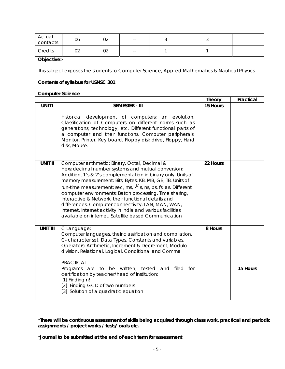| Actual<br>contacts | 06           | $\sim$<br>◡∠ | $- -$ |  |  |
|--------------------|--------------|--------------|-------|--|--|
| Credits            | $\sim$<br>◡∠ | $\sim$<br>◡∠ | $- -$ |  |  |

### **Objective:-**

This subject exposes the students to Computer Science, Applied Mathematics & Nautical Physics

### **Contents of syllabus for USNSC 301**

# **Computer Science**

|                 |                                                                                                                                                                                                                                                                                                                                                                                                                                                                                                                                                                                                    | <b>Theory</b> | Practical |
|-----------------|----------------------------------------------------------------------------------------------------------------------------------------------------------------------------------------------------------------------------------------------------------------------------------------------------------------------------------------------------------------------------------------------------------------------------------------------------------------------------------------------------------------------------------------------------------------------------------------------------|---------------|-----------|
| <b>UNIT I</b>   | <b>SEMESTER - III</b>                                                                                                                                                                                                                                                                                                                                                                                                                                                                                                                                                                              | 15 Hours      |           |
|                 | Historical development of computers: an evolution.<br>Classification of Computers on different norms such as<br>generations, technology, etc. Different functional parts of<br>a computer and their functions. Computer peripherals:<br>Monitor, Printer, Key board, Floppy disk drive, Floppy, Hard<br>disk, Mouse.                                                                                                                                                                                                                                                                               |               |           |
|                 |                                                                                                                                                                                                                                                                                                                                                                                                                                                                                                                                                                                                    |               |           |
| <b>UNIT II</b>  | Computer arithmetic: Binary, Octal, Decimal &<br>Hexadecimal number systems and mutual conversion:<br>Addition, 1's & 2's complementation in binary only. Units of<br>memory measurement: Bits, Bytes, KB, MB, GB, TB. Units of<br>run-time measurement: sec, ms, $\mu$ s, ns, ps, fs, as. Different<br>computer environments: Batch processing, Time sharing,<br>Interactive & Network, their functional details and<br>differences. Computer connectivity: LAN, MAN, WAN,<br>Internet. Internet activity in India and various facilities<br>available on internet, Satellite based Communication | 22 Hours      |           |
|                 |                                                                                                                                                                                                                                                                                                                                                                                                                                                                                                                                                                                                    |               |           |
| <b>UNIT III</b> | C Language:<br>Computer languages, their classification and compilation.<br>C- character set. Data Types. Constants and variables.<br>Operators: Arithmetic, Increment & Decrement, Modulo<br>division, Relational, Logical, Conditional and Comma<br><b>PRACTICAL</b><br>Programs are to be written, tested and filed for<br>certification by teacher/head of Institution:<br>[1] Finding n!<br>[2] Finding GCD of two numbers<br>[3] Solution of a quadratic equation                                                                                                                            | 8 Hours       | 15 Hours  |

**\*There will be continuous assessment of skills being acquired through class work, practical and periodic assignments / project works / tests/ orals etc.** 

**\*Journal to be submitted at the end of each term for assessment**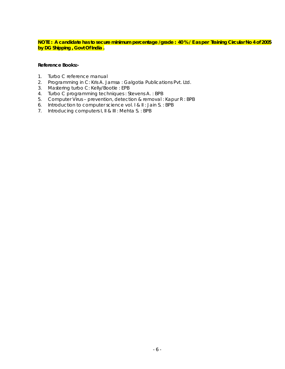### **NOTE : A candidate has to secure minimum percentage /grade : 40 % / E as per Training Circular No 4 of 2005 by DG Shipping , Govt Of India .**

- 1. Turbo C reference manual
- 2. Programming in C: Kris A. Jamsa : Galgotia Publications Pvt. Ltd.
- 3. Mastering turbo C: Kelly/Bootle : EPB
- 4. Turbo C programming techniques : Stevens A. : BPB
- 5. Computer Virus prevention, detection & removal : Kapur R : BPB
- 6. Introduction to computer science vol. I & II : Jain S. : BPB
- 7. Introducing computers I, II & III : Mehta S. : BPB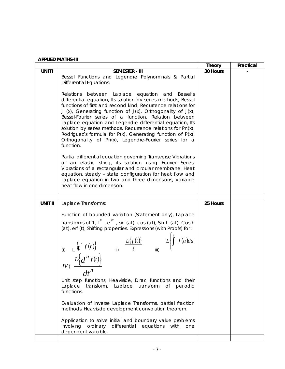|                |                                                                                                                                                                                                                                                                                                                                                                                                                                                                                                                                                                                       | Theory   | Practical |
|----------------|---------------------------------------------------------------------------------------------------------------------------------------------------------------------------------------------------------------------------------------------------------------------------------------------------------------------------------------------------------------------------------------------------------------------------------------------------------------------------------------------------------------------------------------------------------------------------------------|----------|-----------|
| <b>UNIT I</b>  | <b>SEMESTER - III</b><br>Bessel Functions and Legendre Polynominals & Partial<br><b>Differential Equations:</b>                                                                                                                                                                                                                                                                                                                                                                                                                                                                       | 30 Hours |           |
|                | Relations between Laplace equation and<br>Bessel's<br>differential equation, Its solution by series methods, Bessel<br>functions of first and second kind, Recurrence relations for<br>J (x), Generating function of $J(x)$ , Orthogonality of $J(x)$ ,<br>Bessel-Fourier series of a function, Relation between<br>Laplace equation and Legendre differential equation, Its<br>solution by series methods, Recurrence relations for Pn(x),<br>Rodriguez's formula for $P(x)$ , Generating function of $P(x)$ ,<br>Orthogonality of Pn(x), Legendre-Fourier series for a<br>function. |          |           |
|                | Partial differential equation governing Transverse Vibrations<br>of an elastic string, its solution using Fourier Series,<br>Vibrations of a rectangular and circular membrane. Heat<br>equation, steady - state configuration for heat flow and<br>Laplace equation in two and three dimensions, Variable<br>heat flow in one dimension.                                                                                                                                                                                                                                             |          |           |
| <b>UNIT II</b> | Laplace Transforms:                                                                                                                                                                                                                                                                                                                                                                                                                                                                                                                                                                   | 25 Hours |           |
|                | Function of bounded variation (Statement only), Laplace<br>transforms of 1, $t^n$ , $e^{at}$ , sin (at), cos (at), Sin h (at), Cos h<br>$L\{f(t)\}\$<br>(i) $L\{f^n f(t)\}$<br>$L\{d^n f(t)\}$<br>$I = \{f(u)du$<br>$I = \{f(u)du\}$<br>$I = \{f(u)du\}$<br>$I = \{f(u)du\}$<br>$dt^n$                                                                                                                                                                                                                                                                                                |          |           |
|                | Unit step functions, Heaviside, Dirac functions and their<br>transform.<br>transform<br>Laplace<br>Laplace<br>0f<br>periodic<br>functions.                                                                                                                                                                                                                                                                                                                                                                                                                                            |          |           |
|                | Evaluation of inverse Laplace Transforms, partial fraction<br>methods, Heaviside development convolution theorem.                                                                                                                                                                                                                                                                                                                                                                                                                                                                     |          |           |
|                | Application to solve initial and boundary value problems<br>differential<br>involving<br>ordinary<br>equations<br>with<br>one<br>dependent variable.                                                                                                                                                                                                                                                                                                                                                                                                                                  |          |           |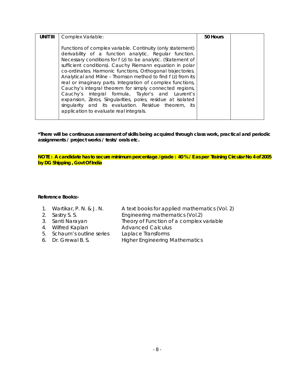| <b>UNIT III</b> | Complex Variable:                                                                                                                                                                                                                                                                                                                                                                                                                                                                                                                                                                                                                                                                                                              | 50 Hours |  |
|-----------------|--------------------------------------------------------------------------------------------------------------------------------------------------------------------------------------------------------------------------------------------------------------------------------------------------------------------------------------------------------------------------------------------------------------------------------------------------------------------------------------------------------------------------------------------------------------------------------------------------------------------------------------------------------------------------------------------------------------------------------|----------|--|
|                 | Functions of complex variable. Continuity (only statement)<br>derivability of a function analytic. Regular function.<br>Necessary conditions for f (z) to be analytic. (Statement of<br>sufficient conditions). Cauchy Riemann equation in polar<br>co-ordinates. Harmonic functions, Orthogonal trajectories.<br>Analytical and Milne - Thomson method to find f (z) from its<br>real or imaginary parts. Integration of complex functions,<br>Cauchy's integral theorem for simply connected regions,<br>Cauchy's integral formula, Taylor's and Laurent's<br>expansion, Zeros, Singularities, poles, residue at isolated<br>singularity and its evaluation. Residue theorem, its<br>application to evaluate real integrals. |          |  |

**NOTE : A candidate has to secure minimum percentage /grade : 40 % / E as per Training Circular No 4 of 2005 by DG Shipping , Govt Of India** 

- 1. Wartikar, P. N. & J. N. A text books for applied mathematics (Vol. 2)
- 
- 2. Sastry S. S. Engineering mathematics (Vol.2)
- 3. Santi Narayan **Theory of Function of a complex variable**<br>4. Wilfred Kaplan **Advanced Calculus** 
	-
- 4. Wilfred Kaplan Advanced Calculus 5. Schaum's outline series
- 
- 
- 6. Dr. Grewal B. S. Higher Engineering Mathematics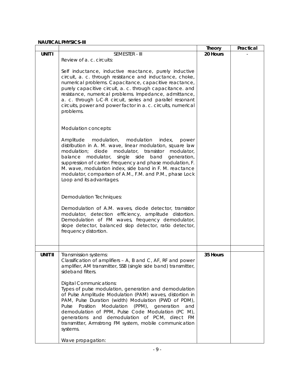### **NAUTICAL PHYSICS-III**

|                |                                                                                                                                                                                                                                                                                                                                                                                                                                                                                                                                                                                                                                                               | <b>Theory</b> | Practical |
|----------------|---------------------------------------------------------------------------------------------------------------------------------------------------------------------------------------------------------------------------------------------------------------------------------------------------------------------------------------------------------------------------------------------------------------------------------------------------------------------------------------------------------------------------------------------------------------------------------------------------------------------------------------------------------------|---------------|-----------|
| UNIT I         | SEMESTER - III                                                                                                                                                                                                                                                                                                                                                                                                                                                                                                                                                                                                                                                | 20 Hours      |           |
|                | Review of a. c. circuits:                                                                                                                                                                                                                                                                                                                                                                                                                                                                                                                                                                                                                                     |               |           |
|                | Self inductance, inductive reactance, purely inductive<br>circuit, a. c. through resistance and inductance, choke,<br>numerical problems. Capacitance, capacitive reactance,<br>purely capacitive circuit, a. c. through capacitance. and<br>resistance, numerical problems. Impedance, admittance,<br>a. c. through L-C-R circuit, series and parallel resonant<br>circuits, power and power factor in a. c. circuits, numerical<br>problems.                                                                                                                                                                                                                |               |           |
|                | Modulation concepts:                                                                                                                                                                                                                                                                                                                                                                                                                                                                                                                                                                                                                                          |               |           |
|                | Amplitude<br>modulation,<br>modulation<br>index,<br>power<br>distribution in A. M. wave, linear modulation, square law<br>modulation;<br>diode<br>modulator, transistor<br>modulator,<br>single<br>balance<br>modulator,<br>side<br>band<br>generation,<br>suppression of carrier. Frequency and phase modulation, F.<br>M. wave, modulation index, side band in F. M. reactance<br>modulator, comparison of A.M., F.M. and P.M., phase Lock<br>Loop and its advantages.                                                                                                                                                                                      |               |           |
|                |                                                                                                                                                                                                                                                                                                                                                                                                                                                                                                                                                                                                                                                               |               |           |
|                | Demodulation Techniques:                                                                                                                                                                                                                                                                                                                                                                                                                                                                                                                                                                                                                                      |               |           |
|                | Demodulation of A.M. waves, diode detector, transistor<br>modulator, detection efficiency, amplitude distortion.<br>Demodulation of FM waves, frequency demodulator,<br>slope detector, balanced slop detector, ratio detector,<br>frequency distortion.                                                                                                                                                                                                                                                                                                                                                                                                      |               |           |
|                |                                                                                                                                                                                                                                                                                                                                                                                                                                                                                                                                                                                                                                                               |               |           |
| <b>UNIT II</b> | Transmission systems:<br>Classification of amplifiers - A, B and C, AF, RF and power<br>amplifier, AM transmitter, SSB (single side band) transmitter,<br>sideband filters.<br><b>Digital Communications:</b><br>Types of pulse modulation, generation and demodulation<br>of Pulse Amplitude Modulation (PAM) waves, distortion in<br>PAM, Pulse Duration (width) Modulation (PWD of PDM),<br>Position<br>Modulation<br>(PPM), generation<br>Pulse<br>and<br>demodulation of PPM, Pulse Code Modulation (PC M),<br>generations and demodulation of PCM, direct FM<br>transmitter, Armstrong FM system, mobile communication<br>systems.<br>Wave propagation: | 35 Hours      |           |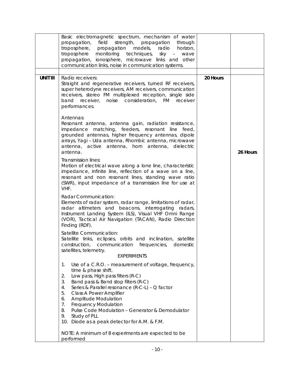|                 | Basic electromagnetic spectrum, mechanism of water<br>propagation, field<br>strength, propagation<br>through<br>troposphere, propagation models,<br>radio<br>horizon,<br>monitoring techniques, sky - wave<br>troposphere<br>propagation, ionosphere, microwave links and other<br>communication links, noise in communication systems.                                                                                                                              |          |          |
|-----------------|----------------------------------------------------------------------------------------------------------------------------------------------------------------------------------------------------------------------------------------------------------------------------------------------------------------------------------------------------------------------------------------------------------------------------------------------------------------------|----------|----------|
| <b>UNIT III</b> | Radio receivers:<br>Straight and regenerative receivers, turned RF receivers,<br>super heterodyne receivers, AM receivers, communication<br>receivers, stereo FM multiplexed reception, single side<br>noise consideration, FM<br>band<br>receiver,<br>receiver<br>performances.                                                                                                                                                                                     | 20 Hours |          |
|                 | Antennas:<br>Resonant antenna, antenna gain, radiation resistance,<br>impedance matching, feeders, resonant line feed,<br>grounded antennas, higher frequency antennas, dipole<br>arrays, Yagi - Uda antenna, Rhombic antenna, microwave<br>antenna, active antenna, horn antenna, dielectric<br>antenna.                                                                                                                                                            |          | 26 Hours |
|                 | Transmission lines:<br>Motion of electrical wave along a lone line, characteristic<br>impedance, infinite line, reflection of a wave on a line,<br>resonant and non resonant lines, standing wave ratio<br>(SWR), input impedance of a transmission line for use at<br>VHF.                                                                                                                                                                                          |          |          |
|                 | Radar Communication:<br>Elements of radar system, radar range, limitations of radar,<br>radar altimeters and beacons, interrogating radars,<br>Instrument Landing System (ILS), Visual VHF Omni Range<br>(VOR), Tactical Air Navigation (TACAN), Radio Direction<br>Finding (RDF).                                                                                                                                                                                   |          |          |
|                 | Satellite Communication:<br>Satellite links, eclipses, orbits and inclination, satellite<br>construction,<br>domestic<br>communication frequencies,<br>satellites, telemetry.<br><b>EXPERIMENTS</b>                                                                                                                                                                                                                                                                  |          |          |
|                 | Use of a C.R.O. - measurement of voltage, frequency,<br>1.<br>time & phase shift.<br>Low pass, High pass filters (R-C)<br>2.<br>3.<br>Band pass & Band stop filters (R-C)<br>Series & Parallel resonance (R-C-L) - Q factor<br>4.<br>Class A Power Amplifier<br>5.<br>Amplitude Modulation<br>6.<br><b>Frequency Modulation</b><br>7.<br>Pulse Code Modulation - Generator & Demodulator<br>8.<br>Study of PLL<br>9.<br>10. Diode as a peak detector for A.M. & F.M. |          |          |
|                 | NOTE: A minimum of 8 experiments are expected to be<br>performed                                                                                                                                                                                                                                                                                                                                                                                                     |          |          |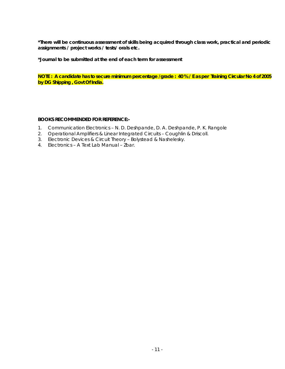**\*Journal to be submitted at the end of each term for assessment** 

**NOTE : A candidate has to secure minimum percentage /grade : 40 % / E as per Training Circular No 4 of 2005 by DG Shipping , Govt Of India.** 

### **BOOKS RECOMMENDED FOR REFERENCE:-**

- 1. Communication Electronics N. D. Deshpande, D. A. Deshpande, P. K. Rangole
- 2. Operational Amplifiers & Linear Integrated Circuits Coughlin & Driscoll.
- 3. Electronic Devices & Circuit Theory Bolystead & Nashelesky.
- 4. Electronics A Text Lab Manual Zbar.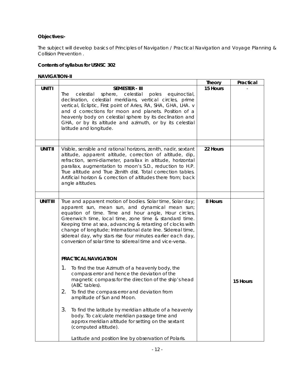# **Objectives:-**

The subject will develop basics of Principles of Navigation / Practical Navigation and Voyage Planning & Collision Prevention .

### **Contents of syllabus for USNSC 302**

### **NAVIGATION-II**

|                 |                                                                                                                                                                                                                                                                                                                                                                                                                                                                                                                  | <b>Theory</b> | Practical |
|-----------------|------------------------------------------------------------------------------------------------------------------------------------------------------------------------------------------------------------------------------------------------------------------------------------------------------------------------------------------------------------------------------------------------------------------------------------------------------------------------------------------------------------------|---------------|-----------|
| <b>UNIT I</b>   | <b>SEMESTER - III</b><br>sphere, celestial<br>The<br>celestial<br>poles equinoctial,<br>declination, celestial meridians, vertical circles, prime<br>vertical, Ecliptic, First point of Aries, RA, SHA, GHA, LHA. v<br>and d corrections for moon and planets. Position of a<br>heavenly body on celestial sphere by its declination and<br>GHA, or by its altitude and azimuth, or by its celestial<br>latitude and longitude.                                                                                  | 15 Hours      |           |
| <b>UNIT II</b>  | Visible, sensible and rational horizons, zenith, nadir, sextant<br>altitude, apparent altitude, correction of altitude, dip,<br>refraction, semi-diameter, parallax in altitude, horizontal<br>parallax, augmentation to moon's S.D., reduction to H.P.<br>True altitude and True Zenith dist. Total correction tables.<br>Artificial horizon & correction of altitudes there from; back<br>angle altitudes.                                                                                                     | 22 Hours      |           |
|                 |                                                                                                                                                                                                                                                                                                                                                                                                                                                                                                                  |               |           |
| <b>UNIT III</b> | True and apparent motion of bodies. Solar time, Solar day;<br>apparent sun, mean sun, and dynamical mean sun;<br>equation of time. Time and hour angle, Hour circles,<br>Greenwich time, local time, zone time & standard time.<br>Keeping time at sea, advancing & retarding of clocks with<br>change of longitude; International date line. Sidereal time,<br>sidereal day, why stars rise four minutes earlier each day,<br>conversion of solar time to sidereal time and vice-versa.<br>PRACTICAL NAVIGATION | 8 Hours       |           |
|                 | 1.<br>To find the true Azimuth of a heavenly body, the                                                                                                                                                                                                                                                                                                                                                                                                                                                           |               |           |
|                 | compass error and hence the deviation of the<br>magnetic compass for the direction of the ship's head<br>(ABC tables).                                                                                                                                                                                                                                                                                                                                                                                           |               | 15 Hours  |
|                 | 2.<br>To find the compass error and deviation from<br>amplitude of Sun and Moon.                                                                                                                                                                                                                                                                                                                                                                                                                                 |               |           |
|                 | 3.<br>To find the latitude by meridian altitude of a heavenly<br>body. To calculate meridian passage time and<br>approx meridian altitude for setting on the sextant<br>(computed altitude).                                                                                                                                                                                                                                                                                                                     |               |           |
|                 | Latitude and position line by observation of Polaris.                                                                                                                                                                                                                                                                                                                                                                                                                                                            |               |           |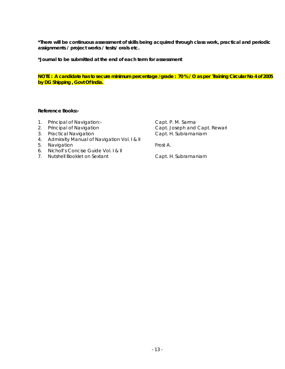**\*Journal to be submitted at the end of each term for assessment** 

**NOTE : A candidate has to secure minimum percentage /grade : 70 % / O as per Training Circular No 4 of 2005 by DG Shipping , Govt Of India.** 

### **Reference Books:-**

- 1. Principal of Navigation:- Capt. P. M. Sarma
- 
- 
- 4. Admiralty Manual of Navigation Vol. I & II
- 5. Navigation **Frost A.**
- 6. Nicholl's Concise Guide Vol. I & II
- 7. Nutshell Booklet on Sextant Capt. H. Subramaniam

2. Principal of Navigation **Capt. Joseph and Capt. Rewari** 3. Practical Navigation Capt. H. Subramaniam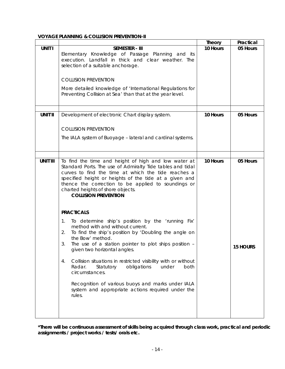### **VOYAGE PLANNING & COLLISION PREVENTION-II**

|                 |                                                                                                               | <b>Theory</b> | Practical       |
|-----------------|---------------------------------------------------------------------------------------------------------------|---------------|-----------------|
| <b>UNIT I</b>   | <b>SEMESTER - III</b>                                                                                         | 10 Hours      | 05 Hours        |
|                 | Elementary Knowledge of Passage Planning and its                                                              |               |                 |
|                 | execution. Landfall in thick and clear weather. The                                                           |               |                 |
|                 | selection of a suitable anchorage.                                                                            |               |                 |
|                 |                                                                                                               |               |                 |
|                 | <b>COLLISION PREVENTION</b>                                                                                   |               |                 |
|                 | More detailed knowledge of 'International Regulations for                                                     |               |                 |
|                 | Preventing Collision at Sea' than that at the year level.                                                     |               |                 |
|                 |                                                                                                               |               |                 |
|                 |                                                                                                               |               |                 |
| <b>UNIT II</b>  | Development of electronic Chart display system.                                                               | 10 Hours      | 05 Hours        |
|                 |                                                                                                               |               |                 |
|                 |                                                                                                               |               |                 |
|                 | <b>COLLISION PREVENTION</b>                                                                                   |               |                 |
|                 | The IALA system of Buoyage - lateral and cardinal systems.                                                    |               |                 |
|                 |                                                                                                               |               |                 |
|                 |                                                                                                               |               |                 |
|                 |                                                                                                               |               |                 |
| <b>UNIT III</b> | To find the time and height of high and low water at                                                          | 10 Hours      | 05 Hours        |
|                 | Standard Ports. The use of Admiralty Tide tables and tidal                                                    |               |                 |
|                 | curves to find the time at which the tide reaches a                                                           |               |                 |
|                 | specified height or heights of the tide at a given and<br>thence the correction to be applied to soundings or |               |                 |
|                 | charted heights of shore objects.                                                                             |               |                 |
|                 | <b>COLLISION PREVENTION</b>                                                                                   |               |                 |
|                 |                                                                                                               |               |                 |
|                 |                                                                                                               |               |                 |
|                 | <b>PRACTICALS</b>                                                                                             |               |                 |
|                 | To determine ship's position by the 'running Fix'<br>1.                                                       |               |                 |
|                 | method with and without current.                                                                              |               |                 |
|                 | To find the ship's position by 'Doubling the angle on<br>2.                                                   |               |                 |
|                 | the Bow' method.                                                                                              |               |                 |
|                 | The use of a station pointer to plot ships position -<br>3.                                                   |               | <b>15 HOURS</b> |
|                 | given two horizontal angles.                                                                                  |               |                 |
|                 | Collision situations in restricted visibility with or without<br>4.                                           |               |                 |
|                 | obligations<br>under<br>both<br>Radar.<br>Statutory                                                           |               |                 |
|                 | circumstances.                                                                                                |               |                 |
|                 |                                                                                                               |               |                 |
|                 | Recognition of various buoys and marks under IALA                                                             |               |                 |
|                 | system and appropriate actions required under the                                                             |               |                 |
|                 | rules.                                                                                                        |               |                 |
|                 |                                                                                                               |               |                 |
|                 |                                                                                                               |               |                 |
|                 |                                                                                                               |               |                 |

**\*There will be continuous assessment of skills being acquired through class work, practical and periodic assignments / project works / tests/ orals etc.**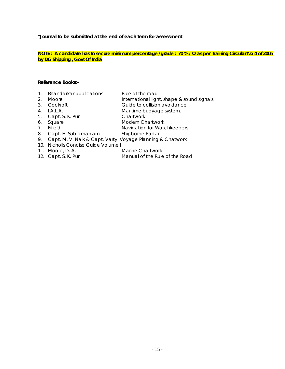**\*Journal to be submitted at the end of each term for assessment** 

**NOTE : A candidate has to secure minimum percentage /grade : 70 % / O as per Training Circular No 4 of 2005 by DG Shipping , Govt Of India**

| 1. Bhandarkar publications                              | Rule of the road                           |
|---------------------------------------------------------|--------------------------------------------|
| 2. Moore                                                | International light, shape & sound signals |
| $\cap$ $\cap$ $\sim$ $\sim$ $\sim$ $\sim$ $\sim$ $\sim$ | Culata ta aallahay ayyahaanaa              |

- 3. Cockroft Guide to collision avoidance
- 4. I.A.L.A. Maritime buoyage system.
- 5. Capt. S. K. Puri Chartwork
- 6. Square Modern Chartwork
- 7. Fifield **Navigation for Watchkeepers**
- 8. Capt. H. Subramaniam Shipborne Radar
- 9. Capt. M. V. Naik & Capt. Varty Voyage Planning & Chatwork
- 10. Nicholls Concise Guide Volume I
- 11. Moore, D. A. Marine Chartwork
- 
- 12. Capt. S. K. Puri Manual of the Rule of the Road.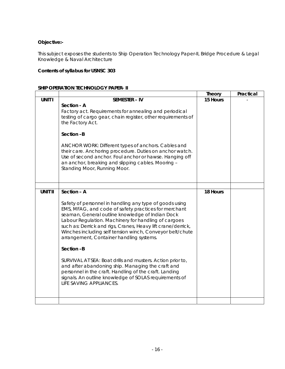## **Objective:-**

This subject exposes the students to Ship Operation Technology Paper-II, Bridge Procedure & Legal Knowledge & Naval Architecture

# **Contents of syllabus for USNSC 303**

### **SHIP OPERATION TECHNOLOGY PAPER- II**

|                |                                                                                                                                                                                                                                                                                                                                                                                                                                                                                                                                                                                                                                                                                                    | <b>Theory</b> | Practical |
|----------------|----------------------------------------------------------------------------------------------------------------------------------------------------------------------------------------------------------------------------------------------------------------------------------------------------------------------------------------------------------------------------------------------------------------------------------------------------------------------------------------------------------------------------------------------------------------------------------------------------------------------------------------------------------------------------------------------------|---------------|-----------|
| <b>UNIT I</b>  | <b>SEMESTER - IV</b>                                                                                                                                                                                                                                                                                                                                                                                                                                                                                                                                                                                                                                                                               | 15 Hours      |           |
|                | Section - A<br>Factory act. Requirements for annealing and periodical<br>testing of cargo gear, chain register, other requirements of<br>the Factory Act.                                                                                                                                                                                                                                                                                                                                                                                                                                                                                                                                          |               |           |
|                | Section-B                                                                                                                                                                                                                                                                                                                                                                                                                                                                                                                                                                                                                                                                                          |               |           |
|                | ANCHOR WORK: Different types of anchors. Cables and<br>their care. Anchoring procedure. Duties on anchor watch.<br>Use of second anchor. Foul anchor or hawse. Hanging off<br>an anchor, breaking and slipping cables. Mooring -<br>Standing Moor, Running Moor.                                                                                                                                                                                                                                                                                                                                                                                                                                   |               |           |
|                |                                                                                                                                                                                                                                                                                                                                                                                                                                                                                                                                                                                                                                                                                                    |               |           |
| <b>UNIT II</b> | Section - A<br>Safety of personnel in handling any type of goods using<br>EMS, MFAG, and code of safety practices for merchant<br>seaman, General outline knowledge of Indian Dock<br>Labour Regulation. Machinery for handling of cargoes<br>such as: Derrick and rigs, Cranes, Heavy lift crane/derrick,<br>Winches including self tension winch, Conveyor belt/chute<br>arrangement, Container handling systems.<br>Section-B<br>SURVIVAL AT SEA: Boat drills and musters. Action prior to,<br>and after abandoning ship. Managing the craft and<br>personnel in the craft. Handling of the craft. Landing<br>signals. An outline knowledge of SOLAS requirements of<br>LIFE SAVING APPLIANCES. | 18 Hours      |           |
|                |                                                                                                                                                                                                                                                                                                                                                                                                                                                                                                                                                                                                                                                                                                    |               |           |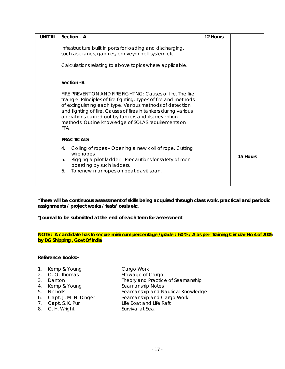| <b>UNIT III</b> | Section - A                                                                                                                                                                                                             | 12 Hours |          |
|-----------------|-------------------------------------------------------------------------------------------------------------------------------------------------------------------------------------------------------------------------|----------|----------|
|                 | Infrastructure built in ports for loading and discharging,<br>such as cranes, gantries, conveyor belt system etc.                                                                                                       |          |          |
|                 | Calculations relating to above topics where applicable.                                                                                                                                                                 |          |          |
|                 | Section -B<br>FIRE PREVENTION AND FIRE FIGHTING: Causes of fire. The fire<br>triangle. Principles of fire fighting. Types of fire and methods<br>of extinguishing each type. Various methods of detection               |          |          |
|                 | and fighting of fire. Causes of fires in tankers during various<br>operations carried out by tankers and its prevention<br>methods. Outline knowledge of SOLAS requirements on<br>FFA.                                  |          |          |
|                 | <b>PRACTICALS</b>                                                                                                                                                                                                       |          |          |
|                 | Coiling of ropes - Opening a new coil of rope. Cutting<br>4.<br>wire ropes.<br>Rigging a pilot ladder - Precautions for safety of men<br>5.<br>boarding by such ladders.<br>To renew manropes on boat davit span.<br>6. |          | 15 Hours |

**\*Journal to be submitted at the end of each term for assessment** 

**NOTE : A candidate has to secure minimum percentage /grade : 60 % / A as per Training Circular No 4 of 2005 by DG Shipping , Govt Of India** 

### **Reference Books:-**

- 1. Kemp & Young Cargo Work
- 
- 
- 4. Kemp & Young Seamanship Notes
- 
- 
- 
- 8. C. H. Wright Survival at Sea.

2. O.O. Thomas Stowage of Cargo 3. Danton Theory and Practice of Seamanship 5. Nicholls Seamanship and Nautical Knowledge<br>6. Capt. J. M. N. Dinger Seamanship and Cargo Work Seamanship and Cargo Work 7. Capt. S. K. Puri Life Boat and Life Raft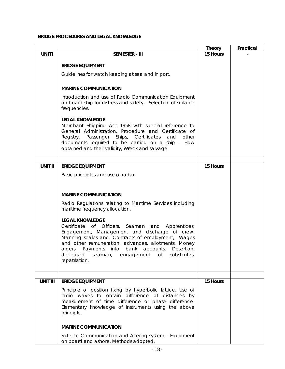## **BRIDGE PROCEDURES AND LEGAL KNOWLEDGE**

|                 |                                                                                                                                                                                                                                                                                                                                                                                     | <b>Theory</b> | Practical |
|-----------------|-------------------------------------------------------------------------------------------------------------------------------------------------------------------------------------------------------------------------------------------------------------------------------------------------------------------------------------------------------------------------------------|---------------|-----------|
| <b>UNIT I</b>   | <b>SEMESTER - III</b>                                                                                                                                                                                                                                                                                                                                                               | 15 Hours      |           |
|                 | <b>BRIDGE EQUIPMENT</b>                                                                                                                                                                                                                                                                                                                                                             |               |           |
|                 | Guidelines for watch keeping at sea and in port.                                                                                                                                                                                                                                                                                                                                    |               |           |
|                 | <b>MARINE COMMUNICATION</b>                                                                                                                                                                                                                                                                                                                                                         |               |           |
|                 | Introduction and use of Radio Communication Equipment<br>on board ship for distress and safety - Selection of suitable<br>frequencies.                                                                                                                                                                                                                                              |               |           |
|                 | <b>LEGAL KNOWLEDGE</b><br>Merchant Shipping Act 1958 with special reference to<br>General Administration, Procedure and Certificate of<br>Registry,<br>Passenger Ships, Certificates<br>and<br>other<br>documents required to be carried on a ship - How<br>obtained and their validity, Wreck and salvage.                                                                         |               |           |
|                 |                                                                                                                                                                                                                                                                                                                                                                                     |               |           |
| <b>UNIT II</b>  | <b>BRIDGE EQUIPMENT</b>                                                                                                                                                                                                                                                                                                                                                             | 15 Hours      |           |
|                 | Basic principles and use of radar.                                                                                                                                                                                                                                                                                                                                                  |               |           |
|                 |                                                                                                                                                                                                                                                                                                                                                                                     |               |           |
|                 | <b>MARINE COMMUNICATION</b>                                                                                                                                                                                                                                                                                                                                                         |               |           |
|                 | Radio Regulations relating to Maritime Services including<br>maritime frequency allocation.                                                                                                                                                                                                                                                                                         |               |           |
|                 | <b>LEGAL KNOWLEDGE</b><br>Certificate of Officers, Seaman<br>and Apprentices,<br>Engagement, Management and discharge of crew,<br>Manning scales and. Contracts of employment, Wages<br>and other remuneration, advances, allotments, Money<br>orders,<br>Payments<br>into bank accounts.<br>Desertion,<br>deceased<br>seaman,<br>engagement<br>substitutes,<br>OŤ<br>repatriation. |               |           |
|                 |                                                                                                                                                                                                                                                                                                                                                                                     |               |           |
| <b>UNIT III</b> | <b>BRIDGE EQUIPMENT</b>                                                                                                                                                                                                                                                                                                                                                             | 15 Hours      |           |
|                 | Principle of position fixing by hyperbolic lattice. Use of<br>radio waves to obtain difference of distances by<br>measurement of time difference or phase difference.<br>Elementary knowledge of instruments using the above<br>principle.                                                                                                                                          |               |           |
|                 | <b>MARINE COMMUNICATION</b>                                                                                                                                                                                                                                                                                                                                                         |               |           |
|                 | Satellite Communication and Altering system - Equipment<br>on board and ashore. Methods adopted.                                                                                                                                                                                                                                                                                    |               |           |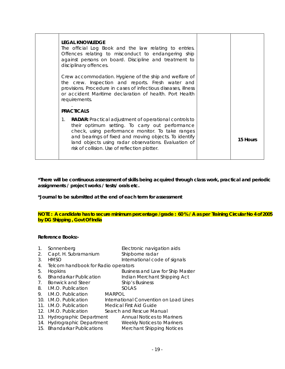| <b>LEGAL KNOWLEDGE</b><br>The official Log Book and the law relating to entries.<br>Offences relating to misconduct to endangering ship<br>against persons on board. Discipline and treatment to<br>disciplinary offences.                                                                                                                   |          |
|----------------------------------------------------------------------------------------------------------------------------------------------------------------------------------------------------------------------------------------------------------------------------------------------------------------------------------------------|----------|
| Crew accommodation. Hygiene of the ship and welfare of<br>the crew. Inspection and reports. Fresh water and<br>provisions. Procedure in cases of infectious diseases, illness<br>or accident Maritime declaration of health. Port Health<br>requirements.                                                                                    |          |
| <b>PRACTICALS</b>                                                                                                                                                                                                                                                                                                                            |          |
| <b>RADAR:</b> Practical adjustment of operational controls to<br>1.<br>their optimum setting. To carry out performance<br>check, using performance monitor. To take ranges<br>and bearings of fixed and moving objects. To identify<br>land objects using radar observations. Evaluation of<br>risk of collision. Use of reflection plotter. | 15 Hours |

**\*Journal to be submitted at the end of each term for assessment** 

### **NOTE : A candidate has to secure minimum percentage /grade : 60 % / A as per Training Circular No 4 of 2005 by DG Shipping , Govt Of India**

| $\mathbf 1$ . | Sonnenberg                          |               | Electronic navigation aids              |
|---------------|-------------------------------------|---------------|-----------------------------------------|
| 2.            | Capt. H. Subramanium                |               | Shipborne radar                         |
| 3.            | <b>HMSO</b>                         |               | International code of signals           |
| 4.            | Telcom handbook for Radio operators |               |                                         |
| 5.            | Hopkins                             |               | <b>Business and Law for Ship Master</b> |
| 6.            | <b>Bhandarkar Publication</b>       |               | Indian Merchant Shipping Act            |
| 7.            | <b>Bonwick and Steer</b>            |               | Ship's Business                         |
| 8.            | L.M.O. Publication                  |               | <b>SOLAS</b>                            |
| 9.            | I.M.O. Publication                  | <b>MARPOL</b> |                                         |
|               | 10. I.M.O. Publication              |               | International Convention on Load Lines  |
|               | 11. I.M.O. Publication              |               | Medical First Aid Guide                 |
|               | 12. I.M.O. Publication              |               | Search and Rescue Manual                |
|               | 13. Hydrographic Department         |               | <b>Annual Notices to Mariners</b>       |
|               | 14. Hydrographic Department         |               | <b>Weekly Notices to Mariners</b>       |
|               | 15. Bhandarkar Publications         |               | <b>Merchant Shipping Notices</b>        |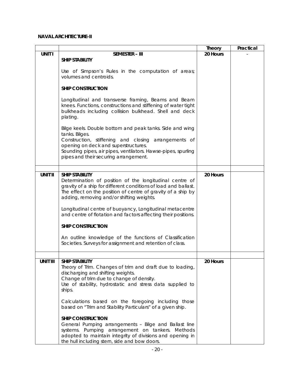### **NAVAL ARCHITECTURE-II**

|                 |                                                                            | <b>Theory</b> | Practical |
|-----------------|----------------------------------------------------------------------------|---------------|-----------|
| <b>UNIT I</b>   | <b>SEMESTER - III</b>                                                      | 20 Hours      |           |
|                 | <b>SHIP STABILITY</b>                                                      |               |           |
|                 |                                                                            |               |           |
|                 | Use of Simpson's Rules in the computation of areas;                        |               |           |
|                 | volumes and centroids.                                                     |               |           |
|                 | <b>SHIP CONSTRUCTION</b>                                                   |               |           |
|                 |                                                                            |               |           |
|                 | Longitudinal and transverse framing, Beams and Beam                        |               |           |
|                 | knees. Functions, constructions and stiffening of water tight              |               |           |
|                 | bulkheads including collision bulkhead. Shell and deck                     |               |           |
|                 | plating.                                                                   |               |           |
|                 |                                                                            |               |           |
|                 | Bilge keels. Double bottom and peak tanks. Side and wing<br>tanks. Bilges. |               |           |
|                 | Construction, stiffening and closing arrangements of                       |               |           |
|                 | opening on deck and superstructures.                                       |               |           |
|                 | Sounding pipes, air pipes, ventilators. Hawse-pipes, spurling              |               |           |
|                 | pipes and their securing arrangement.                                      |               |           |
|                 |                                                                            |               |           |
|                 |                                                                            |               |           |
| <b>UNIT II</b>  | <b>SHIP STABILITY</b>                                                      | 20 Hours      |           |
|                 | Determination of position of the longitudinal centre of                    |               |           |
|                 | gravity of a ship for different conditions of load and ballast.            |               |           |
|                 | The effect on the position of centre of gravity of a ship by               |               |           |
|                 | adding, removing and/or shifting weights.                                  |               |           |
|                 | Longitudinal centre of buoyancy, Longitudinal metacentre                   |               |           |
|                 | and centre of flotation and factors affecting their positions.             |               |           |
|                 |                                                                            |               |           |
|                 | <b>SHIP CONSTRUCTION</b>                                                   |               |           |
|                 |                                                                            |               |           |
|                 | An outline knowledge of the functions of Classification                    |               |           |
|                 | Societies. Surveys for assignment and retention of class.                  |               |           |
|                 |                                                                            |               |           |
| <b>UNIT III</b> | <b>SHIP STABILITY</b>                                                      | 20 Hours      |           |
|                 | Theory of Trim. Changes of trim and draft due to loading,                  |               |           |
|                 | discharging and shifting weights.                                          |               |           |
|                 | Change of trim due to change of density.                                   |               |           |
|                 | Use of stability, hydrostatic and stress data supplied to                  |               |           |
|                 | ships.                                                                     |               |           |
|                 |                                                                            |               |           |
|                 | Calculations based on the foregoing including those                        |               |           |
|                 | based on "Trim and Stability Particulars" of a given ship.                 |               |           |
|                 | <b>SHIP CONSTRUCTION</b>                                                   |               |           |
|                 | General Pumping arrangements - Bilge and Ballast line                      |               |           |
|                 | systems. Pumping arrangement on tankers. Methods                           |               |           |
|                 | adopted to maintain integrity of divisions and opening in                  |               |           |
|                 | the hull including stern, side and bow doors.                              |               |           |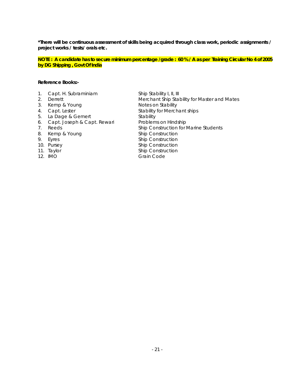**NOTE : A candidate has to secure minimum percentage /grade : 60 % / A as per Training Circular No 4 of 2005 by DG Shipping , Govt Of India** 

### **Reference Books:-**

- 1. Capt. H. Subraminiam Ship Stability I, II, III
- 
- 3. Kemp & Young **Notes on Stability**
- 
- 5. La Dage & Gemert Stability
- 6. Capt. Joseph & Capt. Rewari Problems on Hindship
- 
- 8. Kemp & Young Ship Construction
- 
- 
- 
- 

2. Derrett **Merchant Ship Stability for Master and Mates** 4. Capt. Lester Stability for Merchant ships 7. Reeds Ship Construction for Marine Students 9. Eyres Ship Construction 10. Pursey Ship Construction 11. Taylor **Ship Construction** 12. IMO **Grain Code**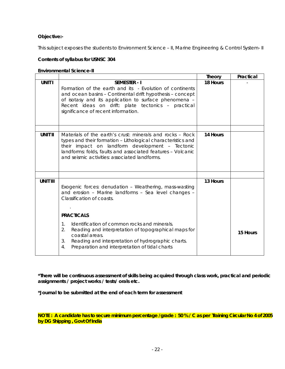### **Objective:-**

This subject exposes the students to Environment Science - II, Marine Engineering & Control System- II

### **Contents of syllabus for USNSC 304**

### **Environmental Science-II**

|                 |                                                                                                                                                                                                                                                                                                    | <b>Theory</b> | Practical |
|-----------------|----------------------------------------------------------------------------------------------------------------------------------------------------------------------------------------------------------------------------------------------------------------------------------------------------|---------------|-----------|
| <b>UNIT I</b>   | <b>SEMESTER - I</b><br>Formation of the earth and its - Evolution of continents<br>and ocean basins - Continental drift hypothesis - concept<br>of isotasy and its application to surface phenomena -<br>Recent ideas on drift: plate tectonics - practical<br>significance of recent information. | 18 Hours      |           |
|                 |                                                                                                                                                                                                                                                                                                    |               |           |
| <b>UNIT II</b>  | Materials of the earth's crust: minerals and rocks – Rock<br>types and their formation - Lithological characteristics and<br>their impact on landform development - Tectonic<br>landforms: folds, faults and associated features - Volcanic<br>and seismic activities: associated landforms.       | 14 Hours      |           |
|                 |                                                                                                                                                                                                                                                                                                    |               |           |
| <b>UNIT III</b> | Exogenic forces: denudation - Weathering, mass-wasting<br>and erosion - Marine landforms - Sea level changes -<br>Classification of coasts.                                                                                                                                                        | 13 Hours      |           |
|                 | <b>PRACTICALS</b>                                                                                                                                                                                                                                                                                  |               |           |
|                 | Identification of common rocks and minerals.<br>$1_{-}$<br>2.<br>Reading and interpretation of topographical maps for<br>coastal areas.<br>Reading and interpretation of hydrographic charts.<br>3.<br>Preparation and interpretation of tidal charts<br>$\overline{4}$ .                          |               | 15 Hours  |

**\*There will be continuous assessment of skills being acquired through class work, practical and periodic assignments / project works / tests/ orals etc.** 

**\*Journal to be submitted at the end of each term for assessment** 

**NOTE : A candidate has to secure minimum percentage /grade : 50 % / C as per Training Circular No 4 of 2005 by DG Shipping , Govt Of India**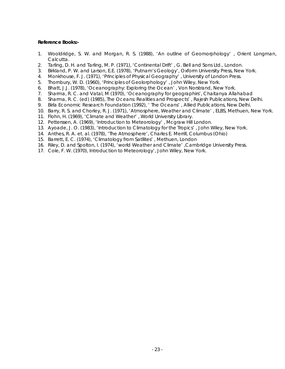- 1. Wooldridge, S. W. and Morgan, R. S. (1988), 'An outline of Geomorphology' , Orient Longman, Calcutta.
- 2. Tarling, D. H. and Tarling, M. P. (1971), 'Continental Drift' , G. Bell and Sons Ltd., London.
- 3. Birkland, P. W. and Larson, E.E. (1978), 'Putnam's Geology', Oxform University Press, New York.
- 4. Monkhouse, F. J. (1971), 'Principles of Physical Geography' , University of London Press.
- 5. Thornbury, W. D. (1960), 'Principles of Geolorphology' , John Wiley, New York.
- 6. Bhatt, J.J. (1978), 'Oceanography: Exploring the Ocean' , Von Norstrand, New York.
- 7. Sharma, R. C. and Vatal, M (1970), 'Oceanography for geographirs', Chaitanya Allahabad
- 8. Sharma, R. C. (ed) (1985), The Oceans: Realities and Prospects' , Rajesh Publications, New Delhi.
- 9. Birla Economic Research Foundation (1992), 'The Oceans', Allied Publications, New Delhi.
- 10. Barry, R. S. and Chorley, R. J. (1971), 'Atmosphere, Weather and Climate' , ELBS, Methuen, New York.
- 11. Flohn, H. (1969), 'Climate and Weather' , World University Library.
- 12. Petterssen, A. (1969), 'Introduction to Meteorology' , Mcgraw Hill London.
- 13. Ayoade, J. O. (1983), 'Introduction to Climatology for the Tropics' , John Wiley, New York.
- 14. Anthes, R. A. et. al. (1978), 'The Atmosphere', Charles E. Merrill, Columbus (Ohio)
- 15. Barrett, E. C. (1974), 'Climatology from Satllites' , Methuen, London
- 16. Riley, D. and Spolton, I. (1974), 'world Weather and Climate' ,Cambridge University Press.
- 17. Cole, F. W. (1970), Introduction to Meteorology', John Wiley, New York.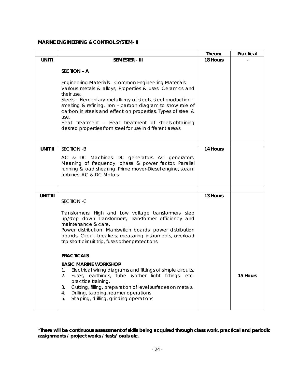### **MARINE ENGINEERING & CONTROL SYSTEM- II**

|                 |                                                                                                                                                                                                                                                                                                                                                                                                                                                          | <b>Theory</b> | Practical |
|-----------------|----------------------------------------------------------------------------------------------------------------------------------------------------------------------------------------------------------------------------------------------------------------------------------------------------------------------------------------------------------------------------------------------------------------------------------------------------------|---------------|-----------|
| <b>UNIT I</b>   | <b>SEMESTER - III</b>                                                                                                                                                                                                                                                                                                                                                                                                                                    | 18 Hours      |           |
|                 | <b>SECTION - A</b>                                                                                                                                                                                                                                                                                                                                                                                                                                       |               |           |
|                 | Engineering Materials - Common Engineering Materials.<br>Various metals & alloys, Properties & uses. Ceramics and<br>their use.<br>Steels - Elementary metallurgy of steels, steel production -<br>smelting & refining, Iron - carbon diagram to show role of<br>carbon in steels and effect on properties. Types of steel &<br>use.<br>Heat treatment - Heat treatment of steels-obtaining<br>desired properties from steel for use in different areas. |               |           |
| <b>UNIT II</b>  | <b>SECTION -B</b>                                                                                                                                                                                                                                                                                                                                                                                                                                        | 14 Hours      |           |
|                 | AC & DC Machines: DC generators. AC generators.<br>Meaning of frequency, phase & power factor. Parallel<br>running & load shearing. Prime mover-Diesel engine, steam<br>turbines. AC & DC Motors.                                                                                                                                                                                                                                                        |               |           |
|                 |                                                                                                                                                                                                                                                                                                                                                                                                                                                          |               |           |
| <b>UNIT III</b> | SECTION - C                                                                                                                                                                                                                                                                                                                                                                                                                                              | 13 Hours      |           |
|                 | Transformers: High and Low voltage transformers, step<br>up/step down Transformers, Transformer efficiency and<br>maintenance & care.<br>Power distribution: Maniswitch boards, power distribution<br>boards, Circuit breakers, measuring instruments, overload<br>trip short circuit trip, fuses other protections.                                                                                                                                     |               |           |
|                 | <b>PRACTICALS</b>                                                                                                                                                                                                                                                                                                                                                                                                                                        |               |           |
|                 | <b>BASIC MARINE WORKSHOP</b><br>Electrical wiring diagrams and fittings of simple circuits.<br>1.<br>2.<br>Fuses, earthings, tube & other light fittings, etc-<br>practice training.<br>Cutting, filling, preparation of level surfaces on metals.<br>3.<br>Drilling, tapping, reamer operations<br>4.<br>Shaping, drilling, grinding operations<br>5.                                                                                                   |               | 15 Hours  |

**\*There will be continuous assessment of skills being acquired through class work, practical and periodic assignments / project works / tests/ orals etc.**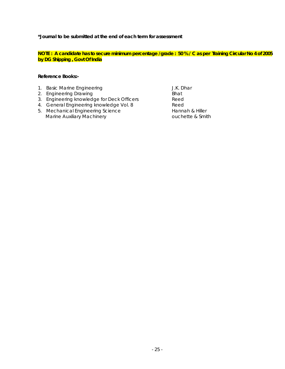**\*Journal to be submitted at the end of each term for assessment** 

**NOTE : A candidate has to secure minimum percentage /grade : 50 % / C as per Training Circular No 4 of 2005 by DG Shipping , Govt Of India**

- 1. Basic Marine Engineering J.K. Dhar
- 2. Engineering Drawing Bhat
- 3. Engineering knowledge for Deck Officers Reed
- 4. General Engineering knowledge Vol. 8 Reed
- 5. Mechanical Engineering Science<br>
Marine Auxiliary Machinery<br>
Marine Auxiliary Machinery<br>
Marine Auxiliary Machinery Marine Auxiliary Machinery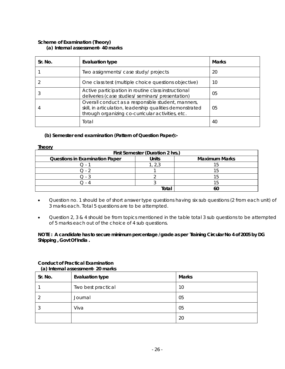### **Scheme of Examination (Theory) (a) Internal assessment- 40 marks**

| Sr. No. | <b>Evaluation type</b>                                                                                                                                               | <b>Marks</b> |
|---------|----------------------------------------------------------------------------------------------------------------------------------------------------------------------|--------------|
|         | Two assignments/ case study/ projects                                                                                                                                | 20           |
|         | One class test (multiple choice questions objective)                                                                                                                 | 10           |
| 3       | Active participation in routine class instructional<br>deliveries (case studies/ seminars/ presentation)                                                             | 05           |
| 4       | Overall conduct as a responsible student, manners,<br>skill, in articulation, leadership qualities demonstrated<br>through organizing co-curricular activities, etc. | 05           |
|         | Total                                                                                                                                                                | 40           |

### **(b) Semester end examination (Pattern of Question Paper):-**

### **Theory**

| First Semester (Duration 2 hrs.)      |              |                      |  |  |  |
|---------------------------------------|--------------|----------------------|--|--|--|
| <b>Questions in Examination Paper</b> | Units        | <b>Maximum Marks</b> |  |  |  |
|                                       |              |                      |  |  |  |
| 7 - 1                                 |              |                      |  |  |  |
| $\left( \ \right)$ .                  |              |                      |  |  |  |
|                                       |              |                      |  |  |  |
|                                       | <b>Total</b> |                      |  |  |  |

- Question no. 1 should be of short answer type questions having six sub questions (2 from each unit) of 3 marks each. Total 5 questions are to be attempted.
- Question 2, 3 & 4 should be from topics mentioned in the table total 3 sub questions to be attempted of 5 marks each out of the choice of 4 sub questions.

### **NOTE : A candidate has to secure minimum percentage /grade as per Training Circular No 4 of 2005 by DG Shipping , Govt Of India .**

### **Conduct of Practical Examination (a) Internal assessment- 20 marks**

| Sr. No. | <b>Evaluation type</b> | <b>Marks</b> |
|---------|------------------------|--------------|
|         | Two best practical     | 10           |
|         | Journal                | 05           |
| w       | Viva                   | 05           |
|         |                        | 20           |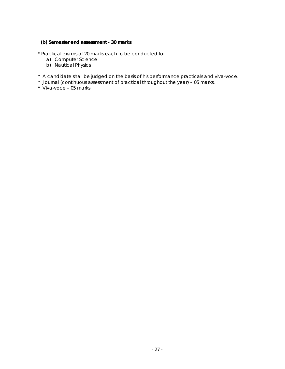# **(b) Semester end assessment - 30 marks**

**\*** Practical exams of 20 marks each to be conducted for –

- a) Computer Science
- b) Nautical Physics
- **\*** A candidate shall be judged on the basis of his performance practicals and viva-voce.
- **\*** Journal (continuous assessment of practical throughout the year) 05 marks.
- **\*** Viva-voce 05 marks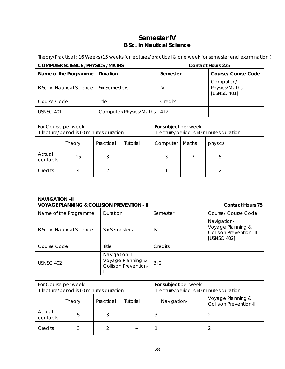# **Semester IV B.Sc. in Nautical Science**

Theory/Practical : 16 Weeks (15 weeks for lectures/practical & one week for semester end examination )

| <b>COMPUTER SCIENCE / PHYSICS / MATHS</b> |                        | <b>Contact Hours 225</b>               |                                            |  |
|-------------------------------------------|------------------------|----------------------------------------|--------------------------------------------|--|
| Name of the Programme                     | Duration               | <b>Course/ Course Code</b><br>Semester |                                            |  |
| <b>B.Sc. in Nautical Science</b>          | Six Semesters          | IV                                     | Computer /<br>Physics/Maths<br>[USNSC 401] |  |
| Course Code                               | Title                  | Credits                                |                                            |  |
| <b>USNSC 401</b>                          | Computer/Physics/Maths | $4 + 2$                                |                                            |  |

| For Course per week<br>1 lecture/period is 60 minutes duration |        |           | For subject per week<br>1 lecture/period is 60 minutes duration |          |       |         |  |
|----------------------------------------------------------------|--------|-----------|-----------------------------------------------------------------|----------|-------|---------|--|
|                                                                | Theory | Practical | Tutorial                                                        | Computer | Maths | physics |  |
| Actual<br>contacts                                             | 15     |           |                                                                 | 3        |       | 5       |  |
| Credits                                                        |        |           | --                                                              |          |       |         |  |

### **NAVIGATION –II VOYAGE PLANNING & COLLISION PREVENTION - II CONTACT ACCORDING THE CONTACT HOURS 75**

| Name of the Programme     | Duration                                                           | Semester | Course/ Course Code                                                           |  |  |  |
|---------------------------|--------------------------------------------------------------------|----------|-------------------------------------------------------------------------------|--|--|--|
| B.Sc. in Nautical Science | Six Semesters                                                      | IV       | Navigation-II<br>Voyage Planning &<br>Collision Prevention -II<br>[USNSC 402] |  |  |  |
| Course Code               | Title                                                              | Credits  |                                                                               |  |  |  |
| USNSC 402                 | Navigation-II<br>Voyage Planning &<br><b>Collision Prevention-</b> | $3 + 2$  |                                                                               |  |  |  |

| For Course per week<br>1 lecture/period is 60 minutes duration |               |           |          | For subject per week<br>1 lecture/period is 60 minutes duration |                                                     |
|----------------------------------------------------------------|---------------|-----------|----------|-----------------------------------------------------------------|-----------------------------------------------------|
|                                                                | <b>Theory</b> | Practical | Tutorial | Navigation-II                                                   | Voyage Planning &<br><b>Collision Prevention-II</b> |
| Actual<br>contacts                                             | h             |           |          |                                                                 |                                                     |
| Credits                                                        |               |           |          |                                                                 |                                                     |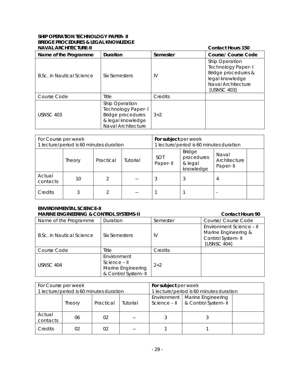# **SHIP OPERATION TECHNOLOGY PAPER- II BRIDGE PROCEDURES & LEGAL KNOWLEDGE**

| <b>NAVAL ARCHITECTURE-II</b> |                                                                                                             |          | <b>Contact Hours 150</b>                                                                                                   |
|------------------------------|-------------------------------------------------------------------------------------------------------------|----------|----------------------------------------------------------------------------------------------------------------------------|
| Name of the Programme        | Duration                                                                                                    | Semester | <b>Course/ Course Code</b>                                                                                                 |
| B.Sc. in Nautical Science    | Six Semesters                                                                                               | IV       | Ship Operation<br><b>Technology Paper-I</b><br>Bridge procedures &<br>legal knowledge<br>Naval Architecture<br>[USNSC 403] |
| Course Code                  | Title                                                                                                       | Credits  |                                                                                                                            |
| <b>USNSC 403</b>             | Ship Operation<br>Technology Paper-I<br><b>Bridge procedures</b><br>& legal knowledge<br>Naval Architecture | $3 + 2$  |                                                                                                                            |

| For Course per week<br>1 lecture/period is 60 minutes duration |        |           |          | For subject per week<br>1 lecture/period is 60 minutes duration |                                                     |                                   |  |
|----------------------------------------------------------------|--------|-----------|----------|-----------------------------------------------------------------|-----------------------------------------------------|-----------------------------------|--|
|                                                                | Theory | Practical | Tutorial | <b>SOT</b><br>Paper-II                                          | <b>Bridge</b><br>procedures<br>& legal<br>knowledge | Naval<br>Architecture<br>Paper-II |  |
| Actual<br>contacts                                             | 10     |           |          | 3                                                               | 3                                                   | 4                                 |  |
| Credits                                                        |        |           |          |                                                                 |                                                     |                                   |  |

# **ENVIRONMENTAL SCIENCE-II**

| <b>MARINE ENGINEERING &amp; CONTROL SYSTEMS-II</b><br><b>Contact Hours 90</b> |                                                                           |          |                                                                                       |  |
|-------------------------------------------------------------------------------|---------------------------------------------------------------------------|----------|---------------------------------------------------------------------------------------|--|
| Name of the Programme                                                         | Duration                                                                  | Semester | Course/ Course Code                                                                   |  |
| B.Sc. in Nautical Science                                                     | Six Semesters                                                             | IV       | Environment Science - II<br>Marine Engineering &<br>Control System- II<br>[USNSC 404] |  |
| Course Code                                                                   | Title                                                                     | Credits  |                                                                                       |  |
| USNSC 404                                                                     | Environment<br>Science - II<br>Marine Engineering<br>& Control System- II | $2 + 2$  |                                                                                       |  |

| For Course per week                     |        |           |                                         | For subject per week          |                                           |  |
|-----------------------------------------|--------|-----------|-----------------------------------------|-------------------------------|-------------------------------------------|--|
| 1 lecture/period is 60 minutes duration |        |           | 1 lecture/period is 60 minutes duration |                               |                                           |  |
|                                         | Theory | Practical | Tutorial                                | Environment  <br>Science - II | Marine Engineering<br>& Control System-II |  |
| Actual<br>contacts                      | 06     | 02        |                                         |                               |                                           |  |
| Credits                                 | 02     | 02        |                                         |                               |                                           |  |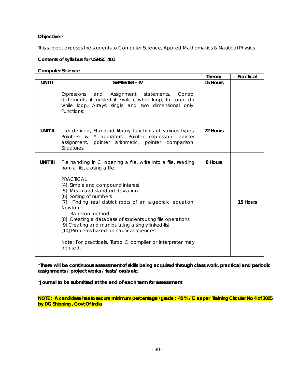### **Objective:-**

This subject exposes the students to Computer Science, Applied Mathematics & Nautical Physics

### **Contents of syllabus for USNSC 401**

### **Computer Science**

|                 |                                                                                                                                                                                                                                                                                                                                                                                                                                                                                                                                                         | Theory   | Practical |
|-----------------|---------------------------------------------------------------------------------------------------------------------------------------------------------------------------------------------------------------------------------------------------------------------------------------------------------------------------------------------------------------------------------------------------------------------------------------------------------------------------------------------------------------------------------------------------------|----------|-----------|
| <b>UNIT I</b>   | <b>SEMESTER - IV</b><br>Assignment statements.<br>Expressions<br>and<br>Control<br>statements: if, nested if, switch, while loop, for loop, do<br>while loop. Arrays: single and two dimensional only.<br>Functions:                                                                                                                                                                                                                                                                                                                                    | 15 Hours |           |
|                 |                                                                                                                                                                                                                                                                                                                                                                                                                                                                                                                                                         |          |           |
| <b>UNIT II</b>  | User-defined, Standard library functions of various types.<br>Pointers: & * operators. Pointer expression: pointer<br>assignment, pointer arithmetic, pointer comparison,<br>Structures.                                                                                                                                                                                                                                                                                                                                                                | 22 Hours |           |
|                 |                                                                                                                                                                                                                                                                                                                                                                                                                                                                                                                                                         |          |           |
| <b>UNIT III</b> | File handling in C: opening a file, write into a file, reading<br>from a file, closing a file.<br><b>PRACTICAL</b><br>[4] Simple and compound interest<br>[5] Mean and standard deviation<br>[6] Sorting of numbers<br>[7] Finding real district roots of an algebraic equation:<br>Newton-<br>Raphson method<br>[8] Creating a database of students using file operations<br>[9] Creating and manipulating a singly linked-list.<br>[10] Problems based on nautical sciences.<br>Note: For practicals, Turbo C compiler or interpreter may<br>be used. | 8 Hours  | 15 Hours  |

**\*There will be continuous assessment of skills being acquired through class work, practical and periodic assignments / project works / tests/ orals etc.** 

**\*Journal to be submitted at the end of each term for assessment** 

**NOTE : A candidate has to secure minimum percentage /grade : 40 % / E as per Training Circular No 4 of 2005 by DG Shipping , Govt Of India**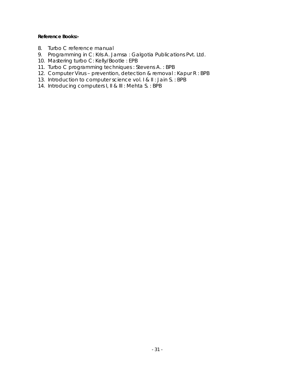- 8. Turbo C reference manual
- 9. Programming in C: Kris A. Jamsa : Galgotia Publications Pvt. Ltd.
- 10. Mastering turbo C: Kelly/Bootle : EPB
- 11. Turbo C programming techniques : Stevens A. : BPB
- 12. Computer Virus prevention, detection & removal : Kapur R : BPB
- 13. Introduction to computer science vol. I & II : Jain S. : BPB
- 14. Introducing computers I, II & III : Mehta S. : BPB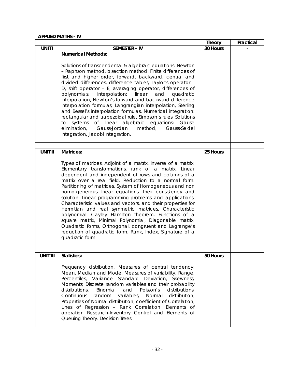### **APPLIED MATHS - IV**

|                 |                                                                                                                                                                                                                                                                                                                                                                                                                                                                                                                                                                                                                                                                                                                                                                                                                               | <b>Theory</b> | Practical |
|-----------------|-------------------------------------------------------------------------------------------------------------------------------------------------------------------------------------------------------------------------------------------------------------------------------------------------------------------------------------------------------------------------------------------------------------------------------------------------------------------------------------------------------------------------------------------------------------------------------------------------------------------------------------------------------------------------------------------------------------------------------------------------------------------------------------------------------------------------------|---------------|-----------|
| <b>UNIT I</b>   | <b>SEMESTER - IV</b>                                                                                                                                                                                                                                                                                                                                                                                                                                                                                                                                                                                                                                                                                                                                                                                                          | 30 Hours      |           |
|                 | <b>Numerical Methods:</b><br>Solutions of transcendental & algebraic equations: Newton<br>- Raphson method, bisection method. Finite differences of<br>first and higher order, forward, backward, central and<br>divided differences, difference tables, Taylor's operator -<br>D, shift operator - E, averaging operator, differences of<br>Interpolation:<br>polynomials.<br>linear<br>and<br>quadratic<br>interpolation, Newton's forward and backward difference<br>interpolation formulas, Langrangian interpolation, Sterling<br>and Bessel's interpolation formulas, Numerical integration:<br>rectangular and trapezoidal rule, Simpson's rules. Solutions<br>of linear algebraic equations:<br>systems<br>Gause<br>to<br>elimination,<br>Gauss-Jordan<br>method,<br>Gauss-Seidel<br>integration, Jacobi integration. |               |           |
| <b>UNIT II</b>  | <b>Matrices:</b>                                                                                                                                                                                                                                                                                                                                                                                                                                                                                                                                                                                                                                                                                                                                                                                                              | 25 Hours      |           |
|                 | Types of matrices. Adjoint of a matrix. Inverse of a matrix.<br>Elementary transformations, rank of a matrix. Linear<br>dependent and independent of rows and columns of a<br>matrix over a real field. Reduction to a normal form.<br>Partitioning of matrices. System of Homogeneous and non<br>homo-generous linear equations, their consistency and<br>solution. Linear programming-problems and applications.<br>Characteristic values and vectors, and their properties for<br>Hermitian and real symmetric matrices. Characteristic<br>polynomial. Cayley Hamilton theorem. Functions of a<br>square matrix, Minimal Polynomial, Diagonable matrix.<br>Quadratic forms, Orthogonal, congruent and Lagrange's<br>reduction of quadratic form. Rank, Index, Signature of a<br>quadratic form.                            |               |           |
|                 |                                                                                                                                                                                                                                                                                                                                                                                                                                                                                                                                                                                                                                                                                                                                                                                                                               |               |           |
| <b>UNIT III</b> | <b>Statistics:</b><br>Frequency distribution, Measures of central tendency;<br>Mean, Median and Mode, Measures of variability, Range,<br>Percentiles, Variance Standard Deviation,<br>Skewness,<br>Moments, Discrete random variables and their probability<br>Poisson's<br>distributions,<br>Binomial<br>and<br>distributions,<br>Continuous<br>random<br>variables,<br>Normal<br>distribution,<br>Properties of Normal distribution, coefficient of Correlation,<br>Lines of Regression - Rank Correlation. Elements of<br>operation Research-Inventory Control and Elements of<br>Queuing Theory. Decision Trees.                                                                                                                                                                                                          | 50 Hours      |           |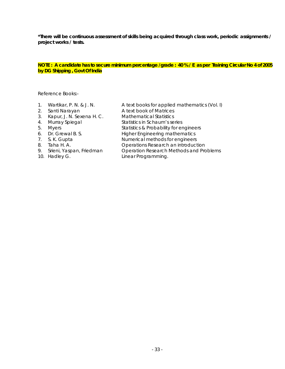### **NOTE : A candidate has to secure minimum percentage /grade : 40 % / E as per Training Circular No 4 of 2005 by DG Shipping , Govt Of India**

| $\overline{1}$ . | Wartikar, P. N. & J. N.   | A text books for applied mathematics (Vol. I) |
|------------------|---------------------------|-----------------------------------------------|
| 2.               | Santi Narayan             | A text book of Matrices                       |
| 3.               | Kapur, J. N. Sexena H. C. | <b>Mathematical Statistics</b>                |
| 4.               | Murray Spiegal            | Statistics in Schaum's series                 |
| 5.               | <b>Myers</b>              | Statistics & Probability for engineers        |
| 6.               | Dr. Grewal B. S.          | <b>Higher Engineering mathematics</b>         |
| 7.               | S. K. Gupta               | Numerical methods for engineers               |
| 8.               | Taha H. A.                | Operations Research an introduction           |
| 9.               | Srieni, Yaspan, Friedman  | Operation Research Methods and Problems       |
|                  | 10. Hadley G.             | Linear Programming.                           |
|                  |                           |                                               |
|                  |                           |                                               |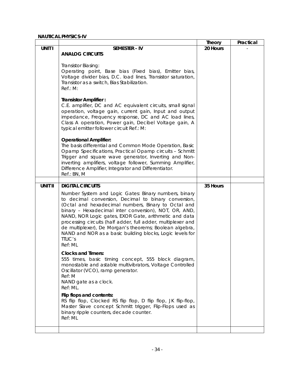|                |                                                                                                                                                                                                                                                                                                                                                                                                                                                                                                                                        | <b>Theory</b> | Practical |
|----------------|----------------------------------------------------------------------------------------------------------------------------------------------------------------------------------------------------------------------------------------------------------------------------------------------------------------------------------------------------------------------------------------------------------------------------------------------------------------------------------------------------------------------------------------|---------------|-----------|
| UNIT I         | <b>SEMESTER - IV</b>                                                                                                                                                                                                                                                                                                                                                                                                                                                                                                                   | 20 Hours      |           |
|                | <b>ANALOG CIRCUITS</b>                                                                                                                                                                                                                                                                                                                                                                                                                                                                                                                 |               |           |
|                | Transistor Biasing:<br>Operating point, Base bias (Fixed bias), Emitter bias,<br>Voltage divider bias, D.C. load lines, Transistor saturation,<br>Transistor as a switch, Bias Stabilization.<br>Ref.: M:                                                                                                                                                                                                                                                                                                                              |               |           |
|                | <b>Transistor Amplifier:</b><br>C.E. amplifier, DC and AC equivalent circuits, small signal<br>operation, voltage gain, current gain, Input and output<br>impedance, Frequency response, DC and AC load lines,<br>Class A operation, Power gain, Decibel Voltage gain, A<br>typical emitter follower circuit Ref.: M:                                                                                                                                                                                                                  |               |           |
|                | <b>Operational Amplifier:</b><br>The basis differential and Common Mode Operation, Basic<br>Opamp Specifications, Practical Opamp circuits - Schmitt<br>Trigger and square wave generator, Inverting and Non-<br>inverting amplifiers, voltage follower, Summing Amplifier,<br>Difference Amplifier, Integrator and Differentiator.<br>Ref.: BN, M                                                                                                                                                                                     |               |           |
|                |                                                                                                                                                                                                                                                                                                                                                                                                                                                                                                                                        |               |           |
| <b>UNIT II</b> | <b>DIGITAL CIRCUITS</b><br>Number System and Logic Gates: Binary numbers, binary<br>to decimal conversion, Decimal to binary conversion,<br>(Octal and hexadecimal numbers, Binary to Octal and<br>binary - Hexadecimal inter conversion), NOT, OR, AND,<br>NAND, NOR Logic gates, EXOR Gate, arithmetic and data<br>processing circuits (half adder, full adder, multiplexer and<br>de multiplexer), De Morgan's theorems; Boolean algebra,<br>NAND and NOR as a basic building blocks, Logic levels for<br><b>TTLIC's</b><br>Ref: ML | 35 Hours      |           |
|                | <b>Clocks and Timers:</b><br>555 times, basic timing concept, 555 block diagram,<br>monostable and astable multivibrators, Voltage Controlled<br>Oscillator (VCO), ramp generator.<br>Ref: M<br>NAND gate as a clock.<br>Ref: ML.<br>Flip flops and contents:<br>RS flip flop, Clocked RS flip flop, D flip flop, JK flip-flop,<br>Master Slave concept Schmitt trigger, Flip-Flops used as<br>binary ripple counters, decade counter.<br>Ref: ML                                                                                      |               |           |
|                |                                                                                                                                                                                                                                                                                                                                                                                                                                                                                                                                        |               |           |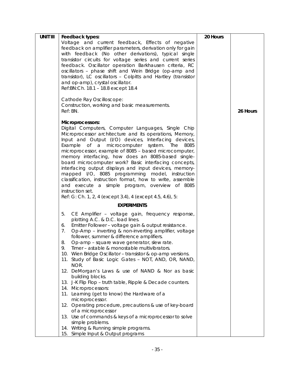| <b>UNIT III</b> | Feedback types:                                                                                                 | 20 Hours |          |
|-----------------|-----------------------------------------------------------------------------------------------------------------|----------|----------|
|                 | Voltage and current feedback, Effects of negative                                                               |          |          |
|                 | feedback on amplifier parameters, derivation only for gain                                                      |          |          |
|                 | with feedback (No other derivations), typical single                                                            |          |          |
|                 | transistor circuits for voltage series and current series                                                       |          |          |
|                 | feedback. Oscillator operation Barkhausen criteria, RC                                                          |          |          |
|                 | oscillators - phase shift and Wein Bridge (op-amp and                                                           |          |          |
|                 | transistor), LC oscillators - Colpitts and Hartley (transistor                                                  |          |          |
|                 | and op-amp), crystal oscillator.<br>Ref: BN: Ch. 18.1 - 18.8 except 18.4                                        |          |          |
|                 |                                                                                                                 |          |          |
|                 | Cathode Ray Oscilloscope:                                                                                       |          |          |
|                 | Construction, working and basic measurements.                                                                   |          |          |
|                 | Ref: BN.                                                                                                        |          | 26 Hours |
|                 |                                                                                                                 |          |          |
|                 | Microprocessors:                                                                                                |          |          |
|                 | Digital Computers, Computer Languages, Single Chip                                                              |          |          |
|                 | Microprocessor architecture and its operations, Memory,                                                         |          |          |
|                 | Input and Output (I/O) devices, Interfacing devices,                                                            |          |          |
|                 | Example of a microcomputer system. The<br>8085                                                                  |          |          |
|                 | microprocessor, example of 8085 - based microcomputer,                                                          |          |          |
|                 | memory interfacing, how does an 8085-based single-                                                              |          |          |
|                 | board microcomputer work? Basic interfacing concepts,<br>interfacing output displays and input devices, memory- |          |          |
|                 | mapped I/O, 8085 programming model, instruction                                                                 |          |          |
|                 | classification, instruction format, how to write, assemble                                                      |          |          |
|                 | and execute a simple program, overview of 8085                                                                  |          |          |
|                 | instruction set.                                                                                                |          |          |
|                 | Ref: G: Ch. 1, 2, 4 (except 3.4), 4 (except 4.5, 4.6), 5:                                                       |          |          |
|                 | <b>EXPERIMENTS</b>                                                                                              |          |          |
|                 | 5.<br>CE Amplifier - voltage gain, frequency response,                                                          |          |          |
|                 | plotting A.C. & D.C. load lines.                                                                                |          |          |
|                 | Emitter Follower - voltage gain & output resistance.<br>6.                                                      |          |          |
|                 | Op-Amp - inverting & non-inverting amplifier, voltage<br>7.                                                     |          |          |
|                 | follower, summer & difference amplifiers.                                                                       |          |          |
|                 | 8.<br>Op-amp – square wave generator, slew rate.                                                                |          |          |
|                 | Timer – astable & monostable multivibrators.<br>9.                                                              |          |          |
|                 | 10. Wien Bridge Oscillator - transistor & op-amp versions.                                                      |          |          |
|                 | 11. Study of Basic Logic Gates - NOT, AND, OR, NAND,                                                            |          |          |
|                 | NOR.                                                                                                            |          |          |
|                 | 12. DeMorgan's Laws & use of NAND & Nor as basic<br>building blocks.                                            |          |          |
|                 | 13. J-K Flip Flop - truth table, Ripple & Decade counters.                                                      |          |          |
|                 | 14. Microprocessors:                                                                                            |          |          |
|                 | 11. Learning (get to know) the Hardware of a                                                                    |          |          |
|                 | microprocessor.                                                                                                 |          |          |
|                 | 12. Operating procedure, precautions & use of key-board                                                         |          |          |
|                 | of a microprocessor                                                                                             |          |          |
|                 | 13. Use of commands & keys of a microprocessor to solve                                                         |          |          |
|                 | simple problems.                                                                                                |          |          |
|                 | 14. Writing & Running simple programs.                                                                          |          |          |
|                 | 15. Simple Input & Output programs                                                                              |          |          |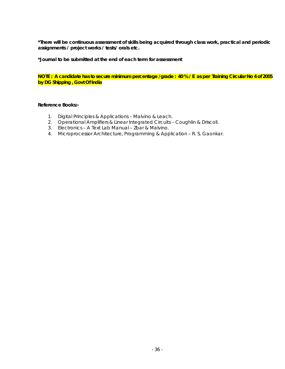**\*Journal to be submitted at the end of each term for assessment** 

**NOTE : A candidate has to secure minimum percentage /grade : 40 % / E as per Training Circular No 4 of 2005 by DG Shipping , Govt Of India** 

- 1. Digital Principles & Applications Malvino & Leach.
- 2. Operational Amplifiers & Linear Integrated Circuits Coughlin & Driscoll.
- 3. Electronics A Text Lab Manual Zbar & Malvino.
- 4. Microprocessor Architecture, Programming & Application R. S. Gaonkar.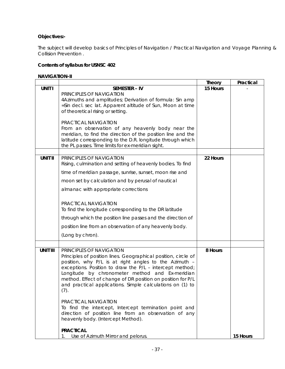# **Objectives:-**

The subject will develop basics of Principles of Navigation / Practical Navigation and Voyage Planning & Collision Prevention .

# **Contents of syllabus for USNSC 402**

### **NAVIGATION-II**

|                 |                                                                                                                            | <b>Theory</b> | Practical |
|-----------------|----------------------------------------------------------------------------------------------------------------------------|---------------|-----------|
| <b>UNIT I</b>   | <b>SEMESTER - IV</b>                                                                                                       | 15 Hours      |           |
|                 | PRINCIPLES OF NAVIGATION                                                                                                   |               |           |
|                 | 4Azimuths and amplitudes; Derivation of formula: Sin amp<br>=Sin decl. sec lat. Apparent altitude of Sun, Moon at time     |               |           |
|                 | of theoretical rising or setting.                                                                                          |               |           |
|                 |                                                                                                                            |               |           |
|                 | PRACTICAL NAVIGATION                                                                                                       |               |           |
|                 | From an observation of any heavenly body near the                                                                          |               |           |
|                 | meridian, to find the direction of the position line and the<br>latitude corresponding to the D.R. longitude through which |               |           |
|                 | the PL passes. Time limits for ex-meridian sight.                                                                          |               |           |
|                 |                                                                                                                            |               |           |
| <b>UNIT II</b>  | PRINCIPLES OF NAVIGATION                                                                                                   | 22 Hours      |           |
|                 | Rising, culmination and setting of heavenly bodies. To find                                                                |               |           |
|                 | time of meridian passage, sunrise, sunset, moon rise and                                                                   |               |           |
|                 | moon set by calculation and by perusal of nautical                                                                         |               |           |
|                 | almanac with appropriate corrections                                                                                       |               |           |
|                 |                                                                                                                            |               |           |
|                 | PRACTICAL NAVIGATION                                                                                                       |               |           |
|                 | To find the longitude corresponding to the DR latitude                                                                     |               |           |
|                 | through which the position line passes and the direction of                                                                |               |           |
|                 | position line from an observation of any heavenly body.                                                                    |               |           |
|                 | (Long by chron).                                                                                                           |               |           |
|                 |                                                                                                                            |               |           |
| <b>UNIT III</b> | PRINCIPLES OF NAVIGATION                                                                                                   | 8 Hours       |           |
|                 | Principles of position lines. Geographical position, circle of                                                             |               |           |
|                 | position, why P/L is at right angles to the Azimuth -<br>exceptions. Position to draw the P/L - intercept method;          |               |           |
|                 | Longitude by chronometer method and Ex-meridian                                                                            |               |           |
|                 | method. Effect of change of DR position on position for P/L                                                                |               |           |
|                 | and practical applications. Simple calculations on (1) to                                                                  |               |           |
|                 | (7).                                                                                                                       |               |           |
|                 | PRACTICAL NAVIGATION                                                                                                       |               |           |
|                 | To find the intercept, Intercept termination point and                                                                     |               |           |
|                 | direction of position line from an observation of any                                                                      |               |           |
|                 | heavenly body. (Intercept Method).                                                                                         |               |           |
|                 | <b>PRACTICAL</b>                                                                                                           |               |           |
|                 | Use of Azimuth Mirror and pelorus.<br>$1_{\cdot}$                                                                          |               | 15 Hours  |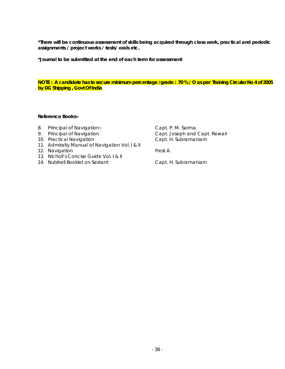**\*Journal to be submitted at the end of each term for assessment** 

### **NOTE : A candidate has to secure minimum percentage /grade : 70 % / O as per Training Circular No 4 of 2005 by DG Shipping , Govt Of India**

### **Reference Books:-**

- 8. Principal of Navigation:-<br>
Capt. P. M. Sarma
- 
- 10. Practical Navigation **Capt. H. Subramaniam**
- 11. Admiralty Manual of Navigation Vol. I & II
- 12. Navigation **From Account Account Account Account Account** Frost A.
- 13. Nicholl's Concise Guide Vol. I & II
- 14. Nutshell Booklet on Sextant Capt. H. Subramaniam

9. Principal of Navigation **Capt. Joseph and Capt. Rewari**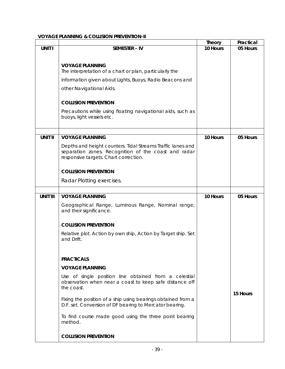### **VOYAGE PLANNING & COLLISION PREVENTION-II**

|                 |                                                                                                                                                              | <b>Theory</b> | Practical |
|-----------------|--------------------------------------------------------------------------------------------------------------------------------------------------------------|---------------|-----------|
| UNIT I          | <b>SEMESTER - IV</b>                                                                                                                                         | 10 Hours      | 05 Hours  |
|                 | <b>VOYAGE PLANNING</b>                                                                                                                                       |               |           |
|                 | The interpretation of a chart or plan, particularly the                                                                                                      |               |           |
|                 | information given about Lights, Buoys, Radio Beacons and                                                                                                     |               |           |
|                 | other Navigational Aids.                                                                                                                                     |               |           |
|                 | <b>COLLISION PREVENTION</b>                                                                                                                                  |               |           |
|                 | Precautions while using floating navigational aids, such as<br>buoys, light vessels etc.                                                                     |               |           |
| <b>UNIT II</b>  | <b>VOYAGE PLANNING</b>                                                                                                                                       | 10 Hours      | 05 Hours  |
|                 | Depths and height counters. Tidal Streams Traffic lanes and<br>separation zones. Recognition of the coast and radar<br>responsive targets. Chart correction. |               |           |
|                 | <b>COLLISION PREVENTION</b>                                                                                                                                  |               |           |
|                 | Radar Plotting exercises.                                                                                                                                    |               |           |
|                 |                                                                                                                                                              |               |           |
| <b>UNIT III</b> | <b>VOYAGE PLANNING</b>                                                                                                                                       | 10 Hours      | 05 Hours  |
|                 | Geographical Range, Luminous Range, Nominal range;<br>and their significance.                                                                                |               |           |
|                 | <b>COLLISION PREVENTION</b>                                                                                                                                  |               |           |
|                 | Relative plot. Action by own ship, Action by Target ship. Set<br>and Drift.                                                                                  |               |           |
|                 | <b>PRACTICALS</b>                                                                                                                                            |               |           |
|                 | <b>VOYAGE PLANNING</b>                                                                                                                                       |               |           |
|                 | Use of single position line obtained from a celestial<br>observation when near a coast to keep safe distance off<br>the coast.                               |               |           |
|                 | Fixing the position of a ship using bearings obtained from a<br>D.F. set. Conversion of DF bearing to Mercator bearing.                                      |               | 15 Hours  |
|                 | To find course made good using the three point bearing<br>method.                                                                                            |               |           |
|                 | <b>COLLISION PREVENTION</b>                                                                                                                                  |               |           |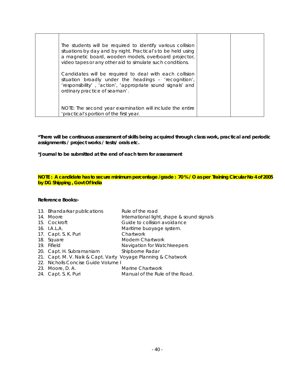| The students will be required to identify various collision<br>situations by day and by night. Practical's to be held using<br>a magnetic board, wooden models, overboard projector,<br>video tapes or any other aid to simulate such conditions. |  |
|---------------------------------------------------------------------------------------------------------------------------------------------------------------------------------------------------------------------------------------------------|--|
| Candidates will be required to deal with each collision<br>situation broadly under the headings - 'recognition',<br>'responsibility', 'action', 'appropriate sound signals' and<br>ordinary practice of seaman'.                                  |  |
| NOTE: The second year examination will include the entire<br>'practical's portion of the first year.                                                                                                                                              |  |

**\*Journal to be submitted at the end of each term for assessment** 

**NOTE : A candidate has to secure minimum percentage /grade : 70 % / O as per Training Circular No 4 of 2005 by DG Shipping , Govt Of India** 

|  | 13. Bhandarkar publications                                   | Rule of the road                           |
|--|---------------------------------------------------------------|--------------------------------------------|
|  | 14. Moore                                                     | International light, shape & sound signals |
|  | 15. Cockroft                                                  | Guide to collision avoidance               |
|  | $16.$ $\overline{AA}$ $\overline{A}$ .                        | Maritime buoyage system.                   |
|  | 17. Capt. S. K. Puri                                          | Chartwork                                  |
|  | 18. Square                                                    | Modern Chartwork                           |
|  | 19. Fifield                                                   | Navigation for Watchkeepers                |
|  | 20. Capt. H. Subramaniam                                      | Shipborne Radar                            |
|  | 21. Capt. M. V. Naik & Capt. Varty Voyage Planning & Chatwork |                                            |
|  | 22. Nicholls Concise Guide Volume I                           |                                            |
|  | 23. Moore, D. A.                                              | Marine Chartwork                           |
|  | 24. Capt. S. K. Puri                                          | Manual of the Rule of the Road.            |
|  |                                                               |                                            |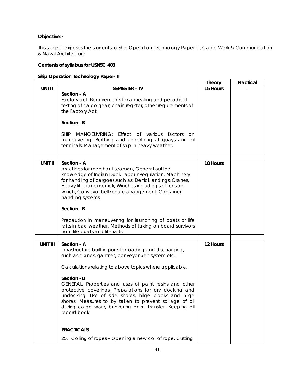# **Objective:-**

This subject exposes the students to Ship Operation Technology Paper- I , Cargo Work & Communication & Naval Architecture

### **Contents of syllabus for USNSC 403**

### **Ship Operation Technology Paper- II**

|                 |                                                                                                                                                                                                                                                                                                                                                                                                                                                                                                                                | <b>Theory</b> | Practical |
|-----------------|--------------------------------------------------------------------------------------------------------------------------------------------------------------------------------------------------------------------------------------------------------------------------------------------------------------------------------------------------------------------------------------------------------------------------------------------------------------------------------------------------------------------------------|---------------|-----------|
| <b>UNIT I</b>   | <b>SEMESTER - IV</b>                                                                                                                                                                                                                                                                                                                                                                                                                                                                                                           | 15 Hours      |           |
|                 | Section - A<br>Factory act. Requirements for annealing and periodical<br>testing of cargo gear, chain register, other requirements of<br>the Factory Act.                                                                                                                                                                                                                                                                                                                                                                      |               |           |
|                 | Section -B                                                                                                                                                                                                                                                                                                                                                                                                                                                                                                                     |               |           |
|                 | MANOEUVRING: Effect of various factors<br><b>SHIP</b><br><b>on</b><br>maneuvering. Berthing and unberthing at quays and oil<br>terminals. Management of ship in heavy weather.                                                                                                                                                                                                                                                                                                                                                 |               |           |
|                 |                                                                                                                                                                                                                                                                                                                                                                                                                                                                                                                                |               |           |
| <b>UNIT II</b>  | Section - A<br>practices for merchant seaman, General outline<br>knowledge of Indian Dock Labour Regulation. Machinery<br>for handling of cargoes such as: Derrick and rigs, Cranes,<br>Heavy lift crane/derrick, Winches including self tension<br>winch, Conveyor belt/chute arrangement, Container<br>handling systems.<br>Section -B<br>Precaution in maneuvering for launching of boats or life                                                                                                                           | 18 Hours      |           |
|                 | rafts in bad weather. Methods of taking on board survivors<br>from life boats and life rafts.                                                                                                                                                                                                                                                                                                                                                                                                                                  |               |           |
|                 |                                                                                                                                                                                                                                                                                                                                                                                                                                                                                                                                |               |           |
| <b>UNIT III</b> | Section - A<br>Infrastructure built in ports for loading and discharging,<br>such as cranes, gantries, conveyor belt system etc.<br>Calculations relating to above topics where applicable.<br>Section -B<br>GENERAL: Properties and uses of paint resins and other<br>protective coverings. Preparations for dry docking and<br>undocking. Use of side shores, bilge blocks and bilge<br>shores. Measures to by taken to prevent spillage of oil<br>during cargo work, bunkering or oil transfer. Keeping oil<br>record book. | 12 Hours      |           |
|                 | <b>PRACTICALS</b>                                                                                                                                                                                                                                                                                                                                                                                                                                                                                                              |               |           |
|                 | 25. Coiling of ropes - Opening a new coil of rope. Cutting                                                                                                                                                                                                                                                                                                                                                                                                                                                                     |               |           |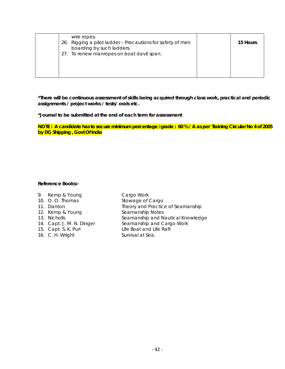| wire ropes.<br>26. Rigging a pilot ladder - Precautions for safety of men<br>boarding by such ladders. | 15 Hours |
|--------------------------------------------------------------------------------------------------------|----------|
| 27. To renew manropes on boat davit span.                                                              |          |

**\*Journal to be submitted at the end of each term for assessment** 

**NOTE : A candidate has to secure minimum percentage /grade : 60 % / A as per Training Circular No 4 of 2005 by DG Shipping , Govt Of India** 

| 9. Kemp & Young           | Cargo Work                        |
|---------------------------|-----------------------------------|
| 10. O.O. Thomas           | Stowage of Cargo                  |
| 11. Danton                | Theory and Practice of Seamanship |
| 12. Kemp & Young          | Seamanship Notes                  |
| 13. Nicholls              | Seamanship and Nautical Knowledge |
| 14. Capt. J. M. N. Dinger | Seamanship and Cargo Work         |
| 15. Capt. S. K. Puri      | Life Boat and Life Raft           |
| 16. C. H. Wright          | Survival at Sea.                  |
|                           |                                   |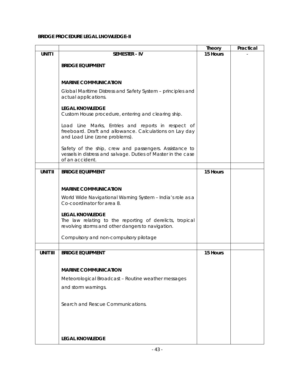### **BRIDGE PROCEDURE LEGAL LNOWLEDGE-II**

|                 |                                                                                                                                                 | <b>Theory</b> | Practical |
|-----------------|-------------------------------------------------------------------------------------------------------------------------------------------------|---------------|-----------|
| <b>UNIT I</b>   | <b>SEMESTER - IV</b>                                                                                                                            | 15 Hours      |           |
|                 | <b>BRIDGE EQUIPMENT</b>                                                                                                                         |               |           |
|                 |                                                                                                                                                 |               |           |
|                 | <b>MARINE COMMUNICATION</b>                                                                                                                     |               |           |
|                 | Global Maritime Distress and Safety System - principles and<br>actual applications.                                                             |               |           |
|                 | <b>LEGAL KNOWLEDGE</b><br>Custom House procedure, entering and clearing ship.                                                                   |               |           |
|                 | Load Line Marks, Entries and reports in respect of<br>freeboard. Draft and allowance. Calculations on Lay day<br>and Load Line (zone problems). |               |           |
|                 | Safety of the ship, crew and passengers. Assistance to<br>vessels in distress and salvage. Duties of Master in the case<br>of an accident.      |               |           |
| <b>UNIT II</b>  | <b>BRIDGE EQUIPMENT</b>                                                                                                                         | 15 Hours      |           |
|                 |                                                                                                                                                 |               |           |
|                 |                                                                                                                                                 |               |           |
|                 | <b>MARINE COMMUNICATION</b>                                                                                                                     |               |           |
|                 | World Wide Navigational Warning System - India's role as a<br>Co-coordinator for area 8.                                                        |               |           |
|                 | <b>LEGAL KNOWLEDGE</b><br>The law relating to the reporting of derelicts, tropical<br>revolving storms and other dangers to navigation.         |               |           |
|                 | Compulsory and non-compulsory pilotage                                                                                                          |               |           |
|                 |                                                                                                                                                 |               |           |
| <b>UNIT III</b> | <b>BRIDGE EQUIPMENT</b>                                                                                                                         | 15 Hours      |           |
|                 |                                                                                                                                                 |               |           |
|                 | <b>MARINE COMMUNICATION</b>                                                                                                                     |               |           |
|                 | Meteorological Broadcast - Routine weather messages                                                                                             |               |           |
|                 | and storm warnings.                                                                                                                             |               |           |
|                 | Search and Rescue Communications.                                                                                                               |               |           |
|                 |                                                                                                                                                 |               |           |
|                 | <b>LEGAL KNOWLEDGE</b>                                                                                                                          |               |           |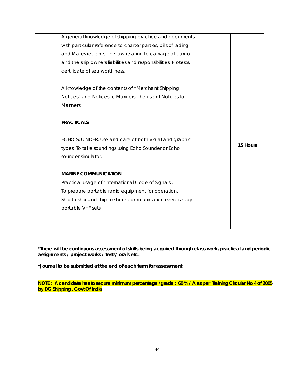| A general knowledge of shipping practice and documents          |          |
|-----------------------------------------------------------------|----------|
| with particular reference to charter parties, bills of lading   |          |
| and Mates receipts. The law relating to carriage of cargo       |          |
| and the ship owners liabilities and responsibilities. Protests, |          |
| certificate of sea worthiness.                                  |          |
|                                                                 |          |
| A knowledge of the contents of "Merchant Shipping               |          |
| Notices" and Notices to Mariners. The use of Notices to         |          |
| Mariners.                                                       |          |
|                                                                 |          |
| <b>PRACTICALS</b>                                               |          |
|                                                                 |          |
| ECHO SOUNDER: Use and care of both visual and graphic           | 15 Hours |
| types. To take soundings using Echo Sounder or Echo             |          |
| sounder simulator.                                              |          |
|                                                                 |          |
| <b>MARINE COMMUNICATION</b>                                     |          |
| Practical usage of 'International Code of Signals'.             |          |
| To prepare portable radio equipment for operation.              |          |
| Ship to ship and ship to shore communication exercises by       |          |
| portable VHF sets.                                              |          |
|                                                                 |          |
|                                                                 |          |

**\*Journal to be submitted at the end of each term for assessment** 

**NOTE : A candidate has to secure minimum percentage /grade : 60 % / A as per Training Circular No 4 of 2005 by DG Shipping , Govt Of India**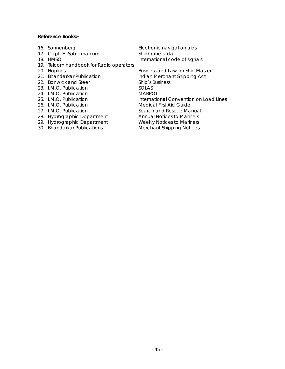### **Reference Books:-**

- 
- 17. Capt. H. Subramanium Shipborne radar
- 
- 19. Telcom handbook for Radio operators
- 
- 
- 22. Bonwick and Steer
- 23. I.M.O. Publication SOLAS
- 24. I.M.O. Publication **MARPOL**
- 
- 
- 
- 
- 
- 

16. Sonnenberg Electronic navigation aids 18. HMSO **International code of signals** 

20. Hopkins **Business and Law for Ship Master** 21. Bhandarkar Publication<br>22. Bonwick and Steer Ship's Business 25. I.M.O. Publication **International Convention on Load Lines** 26. I.M.O. Publication Medical First Aid Guide 27. I.M.O. Publication Search and Rescue Manual 28. Hydrographic Department Annual Notices to Mariners 29. Hydrographic Department Weekly Notices to Mariners 30. Bhandarkar Publications Merchant Shipping Notices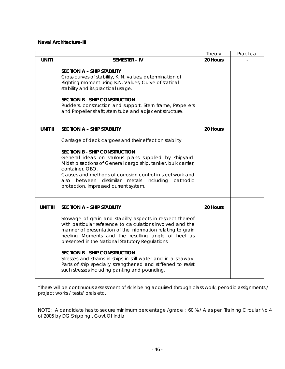### **Naval Architecture-III**

|                 |                                                                                                                                                                                                                                                                                                                                                                                                                                                                                                                            | Theory   | Practical |
|-----------------|----------------------------------------------------------------------------------------------------------------------------------------------------------------------------------------------------------------------------------------------------------------------------------------------------------------------------------------------------------------------------------------------------------------------------------------------------------------------------------------------------------------------------|----------|-----------|
| <b>UNIT I</b>   | <b>SEMESTER - IV</b>                                                                                                                                                                                                                                                                                                                                                                                                                                                                                                       | 20 Hours |           |
|                 | <b>SECTION A - SHIP STABILITY</b><br>Cross curves of stability, K. N. values, determination of<br>Righting moment using K.N. Values, Curve of statical<br>stability and its practical usage.<br><b>SECTION B - SHIP CONSTRUCTION</b><br>Rudders, construction and support. Stern frame, Propellers<br>and Propeller shaft; stern tube and adjacent structure.                                                                                                                                                              |          |           |
| <b>UNIT II</b>  | <b>SECTION A - SHIP STABILITY</b>                                                                                                                                                                                                                                                                                                                                                                                                                                                                                          | 20 Hours |           |
|                 | Carriage of deck cargoes and their effect on stability.<br><b>SECTION B - SHIP CONSTRUCTION</b><br>General ideas on various plans supplied by shipyard.<br>Midship sections of General cargo ship, tanker, bulk carrier,<br>container, OBO.<br>Causes and methods of corrosion control in steel work and<br>dissimilar metals<br>also<br>between<br>including cathodic<br>protection. Impressed current system.                                                                                                            |          |           |
| <b>UNIT III</b> | <b>SECTION A - SHIP STABILITY</b>                                                                                                                                                                                                                                                                                                                                                                                                                                                                                          | 20 Hours |           |
|                 | Stowage of grain and stability aspects in respect thereof<br>with particular reference to calculations involved and the<br>manner of presentation of the information relating to grain<br>heeling Moments and the resulting angle of heel as<br>presented in the National Statutory Regulations.<br><b>SECTION B - SHIP CONSTRUCTION</b><br>Stresses and strains in ships in still water and in a seaway.<br>Parts of ship specially strengthened and stiffened to resist<br>such stresses including panting and pounding. |          |           |

\*There will be continuous assessment of skills being acquired through class work, periodic assignments / project works / tests/ orals etc.

NOTE : A candidate has to secure minimum percentage /grade : 60 % / A as per Training Circular No 4 of 2005 by DG Shipping , Govt Of India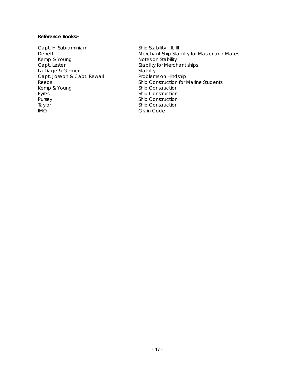### **Reference Books:-**

Capt. H. Subraminiam Ship Stability I, II, III Kemp & Young Notes on Stability<br>
Capt. Lester Capt Stability for Merch La Dage & Gemert Stability Capt. Joseph & Capt. Rewari<br>Reeds Kemp & Young Ship Construction Eyres Ship Construction Pursey **Ship Construction** Taylor **Ship Construction** IMO Grain Code

Derrett Derrett Derrett Merchant Ship Stability for Master and Mates Stability for Merchant ships Ship Construction for Marine Students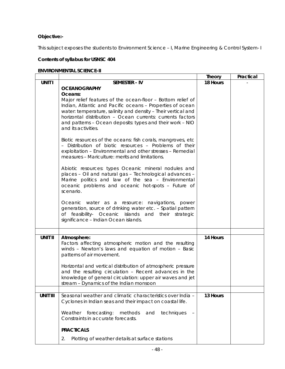# **Objective:-**

This subject exposes the students to Environment Science – I, Marine Engineering & Control System- I

### **Contents of syllabus for USNSC 404**

# **ENVIRONMENTAL SCIENCE-II**

|                 |                                                                       | Theory   | Practical |
|-----------------|-----------------------------------------------------------------------|----------|-----------|
| UNIT I          | <b>SEMESTER - IV</b>                                                  | 18 Hours |           |
|                 | <b>OCEANOGRAPHY</b>                                                   |          |           |
|                 | Oceans:                                                               |          |           |
|                 | Major relief features of the ocean-floor - Bottom relief of           |          |           |
|                 | Indian, Atlantic and Pacific oceans - Properties of ocean             |          |           |
|                 | water: temperature, salinity and density - Their vertical and         |          |           |
|                 | horizontal distribution - Ocean currents: currents factors            |          |           |
|                 | and patterns - Ocean deposits: types and their work - NIO             |          |           |
|                 | and its activities.                                                   |          |           |
|                 | Biotic resources of the oceans: fish corals, mangroves, etc.          |          |           |
|                 | - Distribution of biotic resources - Problems of their                |          |           |
|                 | exploitation - Environmental and other stresses - Remedial            |          |           |
|                 | measures - Mariculture: merits and limitations.                       |          |           |
|                 |                                                                       |          |           |
|                 | Abiotic resources: types Oceanic mineral nodules and                  |          |           |
|                 | places - Oil and natural gas - Technological advances -               |          |           |
|                 | Marine politics and law of the sea - Environmental                    |          |           |
|                 | oceanic problems and oceanic hot-spots - Future of                    |          |           |
|                 | scenario.                                                             |          |           |
|                 | Oceanic water as a resource: navigations, power                       |          |           |
|                 | generation, source of drinking water etc. - Spatial pattern           |          |           |
|                 | of feasibility- Oceanic islands and their<br>strategic                |          |           |
|                 | significance - Indian Ocean islands.                                  |          |           |
|                 |                                                                       |          |           |
|                 |                                                                       |          |           |
| <b>UNIT II</b>  | Atmosphere:<br>Factors affecting atmospheric motion and the resulting | 14 Hours |           |
|                 | winds - Newton's laws and equation of motion - Basic                  |          |           |
|                 | patterns of air movement.                                             |          |           |
|                 |                                                                       |          |           |
|                 | Horizontal and vertical distribution of atmospheric pressure          |          |           |
|                 | and the resulting circulation - Recent advances in the                |          |           |
|                 | knowledge of general circulation: upper air waves and jet             |          |           |
|                 | stream - Dynamics of the Indian monsoon                               |          |           |
| <b>UNIT III</b> | Seasonal weather and climatic characteristics over India -            | 13 Hours |           |
|                 | Cyclones in Indian seas and their impact on coastal life.             |          |           |
|                 |                                                                       |          |           |
|                 | Weather<br>forecasting:<br>methods<br>and<br>techniques               |          |           |
|                 | Constraints in accurate forecasts.                                    |          |           |
|                 | <b>PRACTICALS</b>                                                     |          |           |
|                 |                                                                       |          |           |
|                 | 2.<br>Plotting of weather details at surface stations                 |          |           |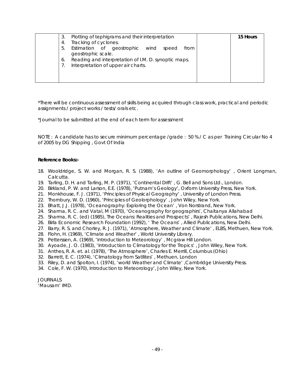| Plotting of tephigrams and their interpretation<br>3                                              | 15 Hours |
|---------------------------------------------------------------------------------------------------|----------|
| Tracking of cyclones.<br>4.                                                                       |          |
| Estimation of geostrophic wind<br>5.<br>from<br>speed<br>geostrophic scale.                       |          |
| Reading and interpretation of I.M. D. synoptic maps.<br>6.<br>Interpretation of upper air charts. |          |
|                                                                                                   |          |

\*Journal to be submitted at the end of each term for assessment

NOTE : A candidate has to secure minimum percentage /grade : 50 % / C as per Training Circular No 4 of 2005 by DG Shipping , Govt Of India

### **Reference Books:-**

- 18. Wooldridge, S. W. and Morgan, R. S. (1988), 'An outline of Geomorphology' , Orient Longman, Calcutta.
- 19. Tarling, D. H. and Tarling, M. P. (1971), 'Continental Drift' , G. Bell and Sons Ltd., London.
- 20. Birkland, P. W. and Larson, E.E. (1978), 'Putnam's Geology', Oxform University Press, New York.
- 21. Monkhouse, F. J. (1971), 'Principles of Physical Geography' , University of London Press.
- 22. Thornbury, W. D. (1960), 'Principles of Geolorphology' , John Wiley, New York.
- 23. Bhatt, J.J. (1978), 'Oceanography: Exploring the Ocean' , Von Norstrand, New York.
- 24. Sharma, R. C. and Vatal, M (1970), 'Oceanography for geographirs', Chaitanya Allahabad
- 25. Sharma, R. C. (ed) (1985), The Oceans: Realities and Prospects' , Rajesh Publications, New Delhi.
- 26. Birla Economic Research Foundation (1992), ' The Oceans' , Allied Publications, New Delhi.
- 27. Barry, R. S. and Chorley, R. J. (1971), 'Atmosphere, Weather and Climate' , ELBS, Methuen, New York.
- 28. Flohn, H. (1969), 'Climate and Weather' , World University Library.
- 29. Petterssen, A. (1969), 'Introduction to Meteorology' , Mcgraw Hill London.
- 30. Ayoade, J. O. (1983), 'Introduction to Climatology for the Tropics' , John Wiley, New York.
- 31. Anthes, R. A. et. al. (1978), 'The Atmosphere', Charles E. Merrill, Columbus (Ohio)
- 32. Barrett, E. C. (1974), 'Climatology from Satllites' , Methuen, London
- 33. Riley, D. and Spolton, I. (1974), 'world Weather and Climate' ,Cambridge University Press.
- 34. Cole, F. W. (1970), Introduction to Meteorology', John Wiley, New York.

JOURNALS 'Mausam' IMD.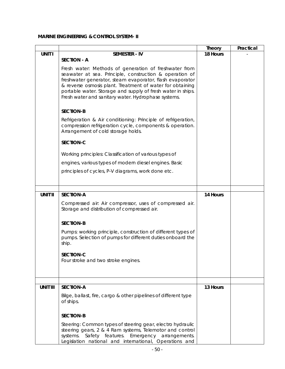# **MARINE ENGINEERING & CONTROL SYSTEM- II**

|                 |                                                                                                                        | <b>Theory</b> | Practical |
|-----------------|------------------------------------------------------------------------------------------------------------------------|---------------|-----------|
| <b>UNIT I</b>   | <b>SEMESTER - IV</b>                                                                                                   | 18 Hours      |           |
|                 | <b>SECTION - A</b>                                                                                                     |               |           |
|                 | Fresh water: Methods of generation of freshwater from                                                                  |               |           |
|                 | seawater at sea. Principle, construction & operation of                                                                |               |           |
|                 | freshwater generator, steam evaporator, flash evaporator                                                               |               |           |
|                 | & reverse osmosis plant. Treatment of water for obtaining                                                              |               |           |
|                 | portable water. Storage and supply of fresh water in ships.<br>Fresh water and sanitary water. Hydrophase systems.     |               |           |
|                 |                                                                                                                        |               |           |
|                 | <b>SECTION-B</b>                                                                                                       |               |           |
|                 | Refrigeration & Air conditioning: Principle of refrigeration,                                                          |               |           |
|                 | compression refrigeration cycle, components & operation.                                                               |               |           |
|                 | Arrangement of cold storage holds.                                                                                     |               |           |
|                 |                                                                                                                        |               |           |
|                 | <b>SECTION-C</b>                                                                                                       |               |           |
|                 | Working principles: Classification of various types of                                                                 |               |           |
|                 | engines, various types of modern diesel engines. Basic                                                                 |               |           |
|                 | principles of cycles, P-V diagrams, work done etc.                                                                     |               |           |
|                 |                                                                                                                        |               |           |
|                 |                                                                                                                        |               |           |
| <b>UNIT II</b>  | <b>SECTION-A</b>                                                                                                       | 14 Hours      |           |
|                 |                                                                                                                        |               |           |
|                 | Compressed air: Air compressor, uses of compressed air.<br>Storage and distribution of compressed air.                 |               |           |
|                 |                                                                                                                        |               |           |
|                 | <b>SECTION-B</b>                                                                                                       |               |           |
|                 | Pumps: working principle, construction of different types of                                                           |               |           |
|                 | pumps. Selection of pumps for different duties onboard the                                                             |               |           |
|                 | ship.                                                                                                                  |               |           |
|                 | SECTION-C                                                                                                              |               |           |
|                 | Four stroke and two stroke engines.                                                                                    |               |           |
|                 |                                                                                                                        |               |           |
|                 |                                                                                                                        |               |           |
|                 |                                                                                                                        |               |           |
| <b>UNIT III</b> | <b>SECTION-A</b>                                                                                                       | 13 Hours      |           |
|                 | Bilge, ballast, fire, cargo & other pipelines of different type                                                        |               |           |
|                 | of ships.                                                                                                              |               |           |
|                 | <b>SECTION-B</b>                                                                                                       |               |           |
|                 |                                                                                                                        |               |           |
|                 | Steering: Common types of steering gear, electro hydraulic<br>steering gears, 2 & 4 Ram systems, Telemotor and control |               |           |
|                 | systems. Safety features. Emergency arrangements.                                                                      |               |           |
|                 | Legislation national and international, Operations and                                                                 |               |           |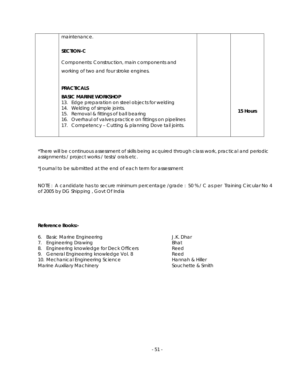| maintenance.                                                                                                                                                                                                                                                                      |          |
|-----------------------------------------------------------------------------------------------------------------------------------------------------------------------------------------------------------------------------------------------------------------------------------|----------|
| SECTION-C                                                                                                                                                                                                                                                                         |          |
| Components: Construction, main components and                                                                                                                                                                                                                                     |          |
| working of two and four stroke engines.                                                                                                                                                                                                                                           |          |
| <b>PRACTICALS</b>                                                                                                                                                                                                                                                                 |          |
| <b>BASIC MARINE WORKSHOP</b><br>13. Edge preparation on steel objects for welding<br>14. Welding of simple joints.<br>15. Removal & fittings of ball bearing<br>16. Overhaul of valves practice on fittings on pipelines<br>17. Competency - Cutting & planning Dove tail joints. | 15 Hours |

\*Journal to be submitted at the end of each term for assessment

NOTE : A candidate has to secure minimum percentage /grade : 50 % / C as per Training Circular No 4 of 2005 by DG Shipping , Govt Of India

| 6. Basic Marine Engineering                | J.K. Dhar         |
|--------------------------------------------|-------------------|
| 7. Engineering Drawing                     | <b>Bhat</b>       |
| 8. Engineering knowledge for Deck Officers | Reed              |
| 9. General Engineering knowledge Vol. 8    | Reed              |
| 10. Mechanical Engineering Science         | Hannah & Hiller   |
| <b>Marine Auxiliary Machinery</b>          | Souchette & Smith |
|                                            |                   |